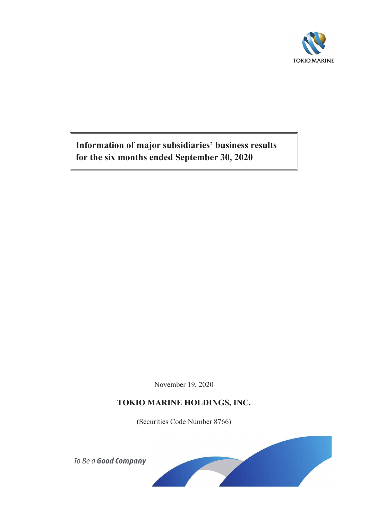

**Information of major subsidiaries' business results for the six months ended September 30, 2020**

November 19, 2020

# **TOKIO MARINE HOLDINGS, INC.**

(Securities Code Number 8766)



To Be a Good Company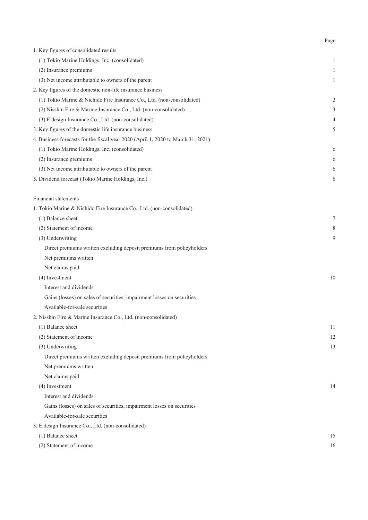| 1. Key figures of consolidated results                                           |                |
|----------------------------------------------------------------------------------|----------------|
| (1) Tokio Marine Holdings, Inc. (consolidated)                                   | 1              |
| (2) Insurance premiums                                                           | 1              |
| (3) Net income attributable to owners of the parent                              | 1              |
| 2. Key figures of the domestic non-life insurance business                       |                |
| (1) Tokio Marine & Nichido Fire Insurance Co., Ltd. (non-consolidated)           | $\overline{c}$ |
| (2) Nisshin Fire & Marine Insurance Co., Ltd. (non-consolidated)                 | 3              |
| (3) E.design Insurance Co., Ltd. (non-consolidated)                              | 4              |
| 3. Key figures of the domestic life insurance business                           | 5              |
| 4. Business forecasts for the fiscal year 2020 (April 1, 2020 to March 31, 2021) |                |
| (1) Tokio Marine Holdings, Inc. (consolidated)                                   | 6              |
| (2) Insurance premiums                                                           | 6              |
| (3) Net income attributable to owners of the parent                              | 6              |
| 5. Dividend forecast (Tokio Marine Holdings, Inc.)                               | 6              |
|                                                                                  |                |
| Financial statements                                                             |                |
| 1. Tokio Marine & Nichido Fire Insurance Co., Ltd. (non-consolidated)            |                |
| (1) Balance sheet                                                                | 7              |
| (2) Statement of income                                                          | 8              |
| (3) Underwriting                                                                 | 9              |
| Direct premiums written excluding deposit premiums from policyholders            |                |
| Net premiums written                                                             |                |
| Net claims paid                                                                  |                |
| (4) Investment                                                                   | 10             |
| Interest and dividends                                                           |                |
| Gains (losses) on sales of securities, impairment losses on securities           |                |
| Available-for-sale securities                                                    |                |
| 2. Nisshin Fire & Marine Insurance Co., Ltd. (non-consolidated)                  |                |
| (1) Balance sheet                                                                | 11             |
| (2) Statement of income                                                          | 12             |
| (3) Underwriting                                                                 | 13             |
| Direct premiums written excluding deposit premiums from policyholders            |                |
| Net premiums written                                                             |                |
| Net claims paid                                                                  |                |
| (4) Investment                                                                   | 14             |
| Interest and dividends                                                           |                |
| Gains (losses) on sales of securities, impairment losses on securities           |                |
| Available-for-sale securities                                                    |                |
| 3. E.design Insurance Co., Ltd. (non-consolidated)                               |                |
| (1) Balance sheet                                                                | 15             |
| (2) Statement of income                                                          | 16             |

Page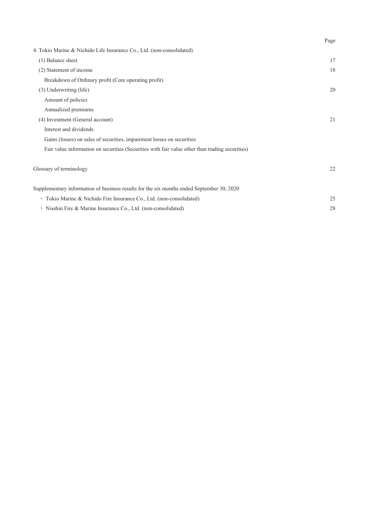|                                                                                                 | Page |
|-------------------------------------------------------------------------------------------------|------|
| 4. Tokio Marine & Nichido Life Insurance Co., Ltd. (non-consolidated)                           |      |
| (1) Balance sheet                                                                               | 17   |
| (2) Statement of income                                                                         | 18   |
| Breakdown of Ordinary profit (Core operating profit)                                            |      |
| (3) Underwriting (life)                                                                         | 20   |
| Amount of policies                                                                              |      |
| Annualized premiums                                                                             |      |
| (4) Investment (General account)                                                                | 21   |
| Interest and dividends                                                                          |      |
| Gains (losses) on sales of securities, impairment losses on securities                          |      |
| Fair value information on securities (Securities with fair value other than trading securities) |      |
| Glossary of terminology                                                                         | 22   |
| Supplementary information of business results for the six months ended September 30, 2020       |      |
| • Tokio Marine & Nichido Fire Insurance Co., Ltd. (non-consolidated)                            | 25   |
| · Nisshin Fire & Marine Insurance Co., Ltd. (non-consolidated)                                  | 28   |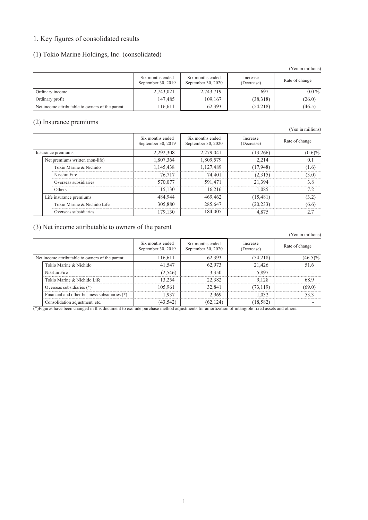# 1. Key figures of consolidated results

### (1) Tokio Marine Holdings, Inc. (consolidated)

|                                                 |                                        |                                        |                        | (Yen in millions) |
|-------------------------------------------------|----------------------------------------|----------------------------------------|------------------------|-------------------|
|                                                 | Six months ended<br>September 30, 2019 | Six months ended<br>September 30, 2020 | Increase<br>(Decrease) | Rate of change    |
| Ordinary income                                 | 2,743,021                              | 2,743,719                              | 697                    | $0.0\%$           |
| Ordinary profit                                 | 147,485                                | 109.167                                | (38,318)               | (26.0)            |
| Net income attributable to owners of the parent | 16,611                                 | 62,393                                 | (54,218)               | (46.5)            |

#### (2) Insurance premiums

|                                 |                                        |                                        |                        | (Yen in millions) |
|---------------------------------|----------------------------------------|----------------------------------------|------------------------|-------------------|
|                                 | Six months ended<br>September 30, 2019 | Six months ended<br>September 30, 2020 | Increase<br>(Decrease) | Rate of change    |
| Insurance premiums              | 2,292,308                              | 2,279,041                              | (13,266)               | $(0.6)\%$         |
| Net premiums written (non-life) | 1,807,364                              | 1,809,579                              | 2.214                  | 0.1               |
| Tokio Marine & Nichido          | 1,145,438                              | 1.127.489                              | (17,948)               | (1.6)             |
| Nisshin Fire                    | 76,717                                 | 74.401                                 | (2,315)                | (3.0)             |
| Overseas subsidiaries           | 570,077                                | 591,471                                | 21.394                 | 38                |
| Others                          | 15.130                                 | 16.216                                 | 1.085                  | 7.2               |
| Life insurance premiums         | 484,944                                | 469,462                                | (15, 481)              | (3.2)             |
| Tokio Marine & Nichido Life     | 305,880                                | 285,647                                | (20, 233)              | (6.6)             |
| Overseas subsidiaries           | 179,130                                | 184,005                                | 4,875                  | 2.7               |

### (3) Net income attributable to owners of the parent

|                                                 |                                               | Six months ended<br>September 30, 2019 | Six months ended<br>September 30, 2020 | Increase<br>(Decrease) | Rate of change |
|-------------------------------------------------|-----------------------------------------------|----------------------------------------|----------------------------------------|------------------------|----------------|
| Net income attributable to owners of the parent |                                               | 116.611                                | 62.393                                 | (54,218)               | $(46.5)\%$     |
|                                                 | Tokio Marine & Nichido                        | 41.547                                 | 62.973                                 | 21.426                 |                |
|                                                 | Nisshin Fire                                  | 2.5461                                 | 3.350                                  | 5.897                  |                |
|                                                 | Tokio Marine & Nichido Life                   | 3 7 5 A                                | 22.382                                 | 9 1 2 8                |                |
|                                                 | Overseas subsidiaries (*)                     | 105 961                                | 32.841                                 | 73 119)                |                |
|                                                 | Financial and other business subsidiaries (*) |                                        | 2 969                                  | -032                   |                |
|                                                 | Consolidation adjustment, etc.                |                                        | 1241                                   | 18.582)                |                |

(\*)Figures have been changed in this document to exclude purchase method adjustments for amortization of intangible fixed assets and others.

(Yen in millions)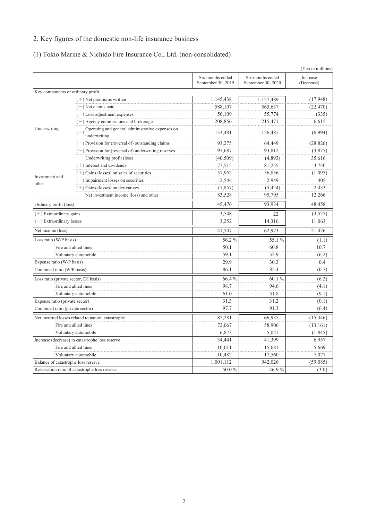# 2. Key figures of the domestic non-life insurance business

# (1) Tokio Marine & Nichido Fire Insurance Co., Ltd. (non-consolidated)

|                                        |                                                                           |                                        |                                        | (Yen in millions)      |
|----------------------------------------|---------------------------------------------------------------------------|----------------------------------------|----------------------------------------|------------------------|
|                                        |                                                                           | Six months ended<br>September 30, 2019 | Six months ended<br>September 30, 2020 | Increase<br>(Decrease) |
| Key components of ordinary profit      |                                                                           |                                        |                                        |                        |
|                                        | $(+)$ Net premiums written                                                | 1,145,438                              | 1,127,489                              | (17,948)               |
|                                        | $(-)$ Net claims paid                                                     | 588,107                                | 565,637                                | (22, 470)              |
|                                        | $(-)$ Loss adjustment expenses                                            | 56,109                                 | 55,774                                 | (335)                  |
|                                        | $(-)$ Agency commissions and brokerage                                    | 208,856                                | 215,471                                | 6,615                  |
| Underwriting                           | Operating and general administrative expenses on<br>$(-)$<br>underwriting | 133,481                                | 126,487                                | (6,994)                |
|                                        | $(-)$ Provision for (reversal of) outstanding claims                      | 93,275                                 | 64,449                                 | (28, 826)              |
|                                        | $(-)$ Provision for (reversal of) underwriting reserves                   | 97,687                                 | 93.812                                 | (3,875)                |
|                                        | Underwriting profit (loss)                                                | (40, 509)                              | (4,893)                                | 35,616                 |
|                                        | $(+)$ Interest and dividends                                              | 77,515                                 | 81,255                                 | 3,740                  |
| Investment and                         | $(+)$ Gains (losses) on sales of securities                               | 57,952                                 | 56,856                                 | (1,095)                |
| other                                  | $(-)$ Impairment losses on securities                                     | 2,544                                  | 2,949                                  | 405                    |
|                                        | $(+)$ Gains (losses) on derivatives                                       | (7, 857)                               | (5, 424)                               | 2,433                  |
|                                        | Net investment income (loss) and other                                    | 83,528                                 | 95,795                                 | 12,266                 |
| Ordinary profit (loss)                 |                                                                           | 45,476                                 | 93,934                                 | 48,458                 |
| $(+)$ Extraordinary gains              |                                                                           | 3,548                                  | 22.                                    | (3,525)                |
| -) Extraordinary losses                |                                                                           | 3,252                                  | 14,316                                 | 11,063                 |
| Net income (loss)                      |                                                                           | 41,547                                 | 62,973                                 | 21,426                 |
| Loss ratio (W/P basis)                 |                                                                           | 56.2 %                                 | 55.1 %                                 | (1.1)                  |
|                                        | Fire and allied lines                                                     | 50.1                                   | 60.8                                   | 10.7                   |
|                                        | Voluntary automobile                                                      | 59.1                                   | 52.9                                   | (6.2)                  |
| Expense ratio (W/P basis)              |                                                                           | 29.9                                   | 30.3                                   | 0.4                    |
| Combined ratio (W/P basis)             |                                                                           | 86.1                                   | 85.4                                   | (0.7)                  |
| Loss ratio (private sector, E/I basis) |                                                                           | 66.4%                                  | 60.1%                                  | (6.2)                  |
|                                        | Fire and allied lines                                                     | 98.7                                   | 94.6                                   | (4.1)                  |
|                                        | Voluntary automobile                                                      | 61.0                                   | 51.8                                   | (9.1)                  |
| Expense ratio (private sector)         |                                                                           | 31.3                                   | 31.2                                   | (0.1)                  |
| Combined ratio (private sector)        |                                                                           | 97.7                                   | 91.3                                   | (6.4)                  |
|                                        | Net incurred losses related to natural catastrophe                        | 82,281                                 | 66,935                                 | (15, 346)              |
|                                        | Fire and allied lines                                                     | 72.067                                 | 58,906                                 | (13, 161)              |
|                                        | Voluntary automobile                                                      | 6,873                                  | 5,027                                  | (1, 845)               |
|                                        | Increase (decrease) in catastrophe loss reserve                           | 34,441                                 | 41,399                                 | 6,957                  |
|                                        | Fire and allied lines                                                     | 10,011                                 | 15,681                                 | 5,669                  |
|                                        | Voluntary automobile                                                      | 10,482                                 | 17,560                                 | 7,077                  |
| Balance of catastrophe loss reserve    |                                                                           | 1,001,112                              | 942,026                                | (59,085)               |
|                                        | Reservation ratio of catastrophe loss reserve                             | 50.0%                                  | 46.9%                                  | (3.0)                  |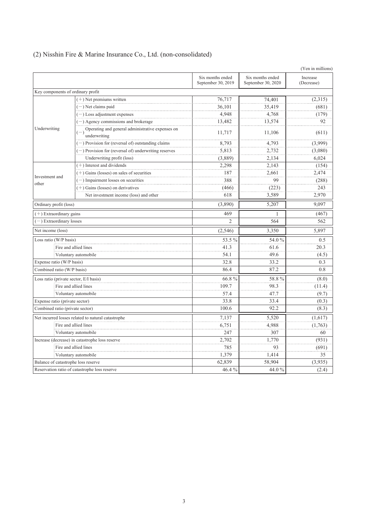|                                        |                                                                  |                                        |                                        | (Yen in millions)      |
|----------------------------------------|------------------------------------------------------------------|----------------------------------------|----------------------------------------|------------------------|
|                                        |                                                                  | Six months ended<br>September 30, 2019 | Six months ended<br>September 30, 2020 | Increase<br>(Decrease) |
| Key components of ordinary profit      |                                                                  |                                        |                                        |                        |
|                                        | $(+)$ Net premiums written                                       | 76,717                                 | 74,401                                 | (2,315)                |
|                                        | $(-)$ Net claims paid                                            | 36,101                                 | 35,419                                 | (681)                  |
|                                        | $(-)$ Loss adjustment expenses                                   | 4,948                                  | 4,768                                  | (179)                  |
|                                        | $(-)$ Agency commissions and brokerage                           | 13,482                                 | 13,574                                 | 92                     |
| Underwriting                           | Operating and general administrative expenses on<br>underwriting | 11,717                                 | 11,106                                 | (611)                  |
|                                        | $(-)$ Provision for (reversal of) outstanding claims             | 8,793                                  | 4,793                                  | (3,999)                |
|                                        | $(-)$ Provision for (reversal of) underwriting reserves          | 5,813                                  | 2,732                                  | (3,080)                |
|                                        | Underwriting profit (loss)                                       | (3,889)                                | 2,134                                  | 6,024                  |
|                                        | $(+)$ Interest and dividends                                     | 2,298                                  | 2.143                                  | (154)                  |
| Investment and                         | $(+)$ Gains (losses) on sales of securities                      | 187                                    | 2,661                                  | 2,474                  |
| other                                  | $(-)$ Impairment losses on securities                            | 388                                    | 99                                     | (288)                  |
|                                        | $(+)$ Gains (losses) on derivatives                              | (466)                                  | (223)                                  | 243                    |
|                                        | Net investment income (loss) and other                           | 618                                    | 3,589                                  | 2,970                  |
| Ordinary profit (loss)                 |                                                                  | (3,890)                                | 5,207                                  | 9,097                  |
| $(+)$ Extraordinary gains              |                                                                  | 469                                    | 1                                      | (467)                  |
| -) Extraordinary losses                |                                                                  | $\overline{2}$                         | 564                                    | 562                    |
| Net income (loss)                      |                                                                  | (2,546)                                | 3,350                                  | 5,897                  |
| Loss ratio (W/P basis)                 |                                                                  | 53.5%                                  | 54.0%                                  | 0.5                    |
|                                        | Fire and allied lines                                            | 41.3                                   | 61.6                                   | 20.3                   |
|                                        | Voluntary automobile                                             | 54.1                                   | 49.6                                   | (4.5)                  |
| Expense ratio (W/P basis)              |                                                                  | 32.8                                   | 33.2                                   | 0.3                    |
| Combined ratio (W/P basis)             |                                                                  | 86.4                                   | 87.2                                   | 0.8                    |
| Loss ratio (private sector, E/I basis) |                                                                  | 66.8%                                  | 58.8%                                  | (8.0)                  |
|                                        | Fire and allied lines                                            | 109.7                                  | 98.3                                   | (11.4)                 |
|                                        | Voluntary automobile                                             | 57.4                                   | 47.7                                   | (9.7)                  |
| Expense ratio (private sector)         |                                                                  | 33.8                                   | 33.4                                   | (0.3)                  |
| Combined ratio (private sector)        |                                                                  | 100.6                                  | 92.2                                   | (8.3)                  |
|                                        | Net incurred losses related to natural catastrophe               | 7,137                                  | 5,520                                  | (1,617)                |
|                                        | Fire and allied lines                                            | 6,751                                  | 4,988                                  | (1,763)                |
|                                        | Voluntary automobile                                             | 247                                    | 307                                    | 60                     |
|                                        | Increase (decrease) in catastrophe loss reserve                  | 2,702                                  | 1.770                                  | (931)                  |
|                                        | Fire and allied lines                                            | 785                                    | 93                                     | (691)                  |
|                                        | Voluntary automobile                                             | 1,379                                  | 1,414                                  | 35                     |
| Balance of catastrophe loss reserve    |                                                                  | 62,839                                 | 58,904                                 | (3,935)                |
|                                        | Reservation ratio of catastrophe loss reserve                    | 46.4%                                  | 44.0 %                                 | (2.4)                  |

# (2) Nisshin Fire & Marine Insurance Co., Ltd. (non-consolidated)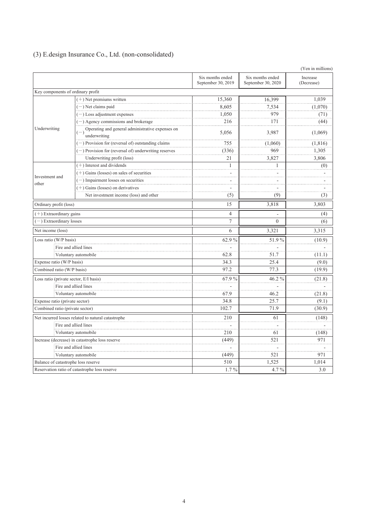|  |  |  | (3) E.design Insurance Co., Ltd. (non-consolidated) |  |
|--|--|--|-----------------------------------------------------|--|
|--|--|--|-----------------------------------------------------|--|

|                                        |                                                                  |                                        |                                        | (Yen in millions)      |
|----------------------------------------|------------------------------------------------------------------|----------------------------------------|----------------------------------------|------------------------|
|                                        |                                                                  | Six months ended<br>September 30, 2019 | Six months ended<br>September 30, 2020 | Increase<br>(Decrease) |
| Key components of ordinary profit      |                                                                  |                                        |                                        |                        |
|                                        | $(+)$ Net premiums written                                       | 15,360                                 | 16,399                                 | 1,039                  |
|                                        | $(-)$ Net claims paid                                            | 8,605                                  | 7,534                                  | (1,070)                |
|                                        | $(-)$ Loss adjustment expenses                                   | 1,050                                  | 979                                    | (71)                   |
|                                        | $(-)$ Agency commissions and brokerage                           | 216                                    | 171                                    | (44)                   |
| Underwriting                           | Operating and general administrative expenses on<br>underwriting | 5,056                                  | 3,987                                  | (1,069)                |
|                                        | $(-)$ Provision for (reversal of) outstanding claims             | 755                                    | (1,060)                                | (1, 816)               |
|                                        | $(-)$ Provision for (reversal of) underwriting reserves          | (336)                                  | 969                                    | 1,305                  |
|                                        | Underwriting profit (loss)                                       | 21                                     | 3,827                                  | 3,806                  |
|                                        | $(+)$ Interest and dividends                                     | $\mathbf{1}$                           | 1                                      | (0)                    |
| Investment and                         | $(+)$ Gains (losses) on sales of securities                      |                                        |                                        |                        |
| other                                  | $(-)$ Impairment losses on securities                            |                                        |                                        |                        |
|                                        | $(+)$ Gains (losses) on derivatives                              | $\sim$                                 |                                        |                        |
|                                        | Net investment income (loss) and other                           | (5)                                    | (9)                                    | (3)                    |
| Ordinary profit (loss)                 |                                                                  | 15                                     | 3,818                                  | 3,803                  |
| $(+)$ Extraordinary gains              |                                                                  | $\overline{4}$                         |                                        | (4)                    |
| -) Extraordinary losses                |                                                                  | $\overline{7}$                         | $\theta$                               | (6)                    |
| Net income (loss)                      |                                                                  | 6                                      | 3,321                                  | 3,315                  |
| Loss ratio (W/P basis)                 |                                                                  | 62.9%                                  | 51.9%                                  | (10.9)                 |
|                                        | Fire and allied lines                                            |                                        |                                        |                        |
|                                        | Voluntary automobile                                             | 62.8                                   | 51.7                                   | (11.1)                 |
| Expense ratio (W/P basis)              |                                                                  | 34.3                                   | 25.4                                   | (9.0)                  |
| Combined ratio (W/P basis)             |                                                                  | 97.2                                   | 77.3                                   | (19.9)                 |
| Loss ratio (private sector, E/I basis) |                                                                  | 67.9%                                  | 46.2%                                  | (21.8)                 |
|                                        | Fire and allied lines                                            |                                        |                                        |                        |
|                                        | Voluntary automobile                                             | 67.9                                   | 46.2                                   | (21.8)                 |
| Expense ratio (private sector)         |                                                                  | 34.8                                   | 25.7                                   | (9.1)                  |
| Combined ratio (private sector)        |                                                                  | 102.7                                  | 71.9                                   | (30.9)                 |
|                                        | Net incurred losses related to natural catastrophe               | 210                                    | 61                                     | (148)                  |
|                                        | Fire and allied lines                                            |                                        |                                        |                        |
|                                        | Voluntary automobile                                             | 210                                    | 61                                     | (148)                  |
|                                        | Increase (decrease) in catastrophe loss reserve                  | (449)                                  | 521                                    | 971                    |
|                                        | Fire and allied lines                                            | ÷.                                     |                                        |                        |
|                                        | Voluntary automobile                                             | (449)                                  | 521                                    | 971                    |
| Balance of catastrophe loss reserve    |                                                                  | 510                                    | 1,525                                  | 1,014                  |
|                                        | Reservation ratio of catastrophe loss reserve                    | $1.7\%$                                | $4.7\%$                                | 3.0                    |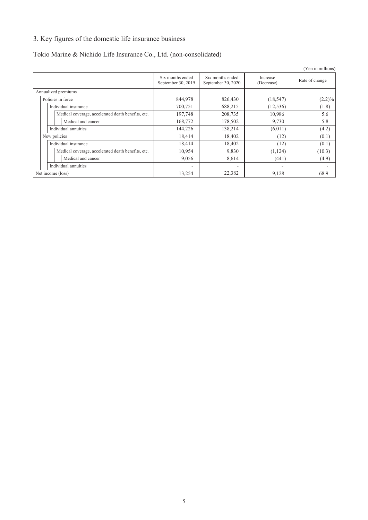# 3. Key figures of the domestic life insurance business

# Tokio Marine & Nichido Life Insurance Co., Ltd. (non-consolidated)

|                      |                                                    |                                        |                                        |                          | (Yen in millions) |
|----------------------|----------------------------------------------------|----------------------------------------|----------------------------------------|--------------------------|-------------------|
|                      |                                                    | Six months ended<br>September 30, 2019 | Six months ended<br>September 30, 2020 | Increase<br>(Decrease)   | Rate of change    |
| Annualized premiums  |                                                    |                                        |                                        |                          |                   |
| Policies in force    |                                                    | 844,978                                | 826,430                                | (18, 547)                | $(2.2)\%$         |
| Individual insurance |                                                    | 700,751                                | 688,215                                | (12, 536)                | (1.8)             |
|                      | Medical coverage, accelerated death benefits, etc. | 197,748                                | 208,735                                | 10,986                   | 5.6               |
| Medical and cancer   |                                                    | 168,772                                | 178,502                                | 9,730                    | 5.8               |
| Individual annuities |                                                    | 144,226                                | 138,214                                | (6,011)                  | (4.2)             |
| New policies         |                                                    | 18,414                                 | 18,402                                 | (12)                     | (0.1)             |
| Individual insurance |                                                    | 18,414                                 | 18,402                                 | (12)                     | (0.1)             |
|                      | Medical coverage, accelerated death benefits, etc. | 10,954                                 | 9,830                                  | (1, 124)                 | (10.3)            |
| Medical and cancer   |                                                    | 9,056                                  | 8,614                                  | (441)                    | (4.9)             |
| Individual annuities |                                                    |                                        | $\overline{\phantom{a}}$               | $\overline{\phantom{0}}$ |                   |
| Net income (loss)    |                                                    | 13,254                                 | 22,382                                 | 9,128                    | 68.9              |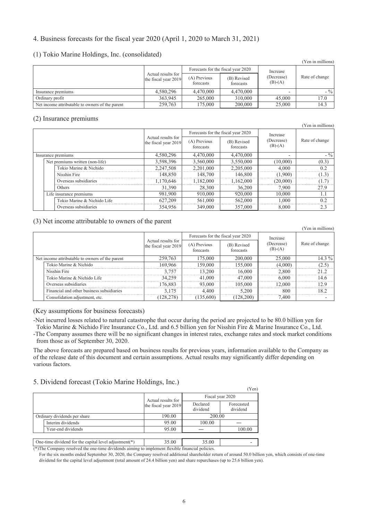### 4. Business forecasts for the fiscal year 2020 (April 1, 2020 to March 31, 2021)

#### (1) Tokio Marine Holdings, Inc. (consolidated)

|                                                 |                                            |                           |                                    |                                     | (Yen in millions) |
|-------------------------------------------------|--------------------------------------------|---------------------------|------------------------------------|-------------------------------------|-------------------|
|                                                 |                                            |                           | Forecasts for the fiscal year 2020 | Increase<br>(Decrease)<br>$(B)-(A)$ | Rate of change    |
|                                                 | Actual results for<br>the fiscal year 2019 | (A) Previous<br>forecasts | (B) Revised<br>forecasts           |                                     |                   |
| Insurance premiums                              | 4,580,296                                  | 4,470,000                 | 4,470,000                          |                                     | $-$ %             |
| Ordinary profit                                 | 363.945                                    | 265,000                   | 310.000                            | 45,000                              | 17.0              |
| Net income attributable to owners of the parent | 259,763                                    | 175,000                   | 200,000                            | 25,000                              | 14.3              |

#### (2) Insurance premiums

|                    |  |                                 |                                            |                           |                                    |                         | (Yen in millions) |
|--------------------|--|---------------------------------|--------------------------------------------|---------------------------|------------------------------------|-------------------------|-------------------|
|                    |  |                                 |                                            |                           | Forecasts for the fiscal year 2020 | Increase                | Rate of change    |
|                    |  |                                 | Actual results for<br>the fiscal year 2019 | (A) Previous<br>forecasts | (B) Revised<br>forecasts           | (Decrease)<br>$(B)-(A)$ |                   |
| Insurance premiums |  | 4,580,296                       | 4.470.000                                  | 4,470,000                 |                                    | $-$ %                   |                   |
|                    |  | Net premiums written (non-life) | 3,598,396                                  | 3,560,000                 | 3,550,000                          | (10,000)                | (0.3)             |
|                    |  | Tokio Marine & Nichido          | 2,247,508                                  | 2.201.000                 | 2,205,000                          | 4.000                   | 02                |
|                    |  | Nisshin Fire                    | 148,850                                    | 148.700                   | 146,800                            | (1.900)                 | (1.3)             |
|                    |  | Overseas subsidiaries           | .170.646                                   | 1.182.000                 | 1,162,000                          | (20.000)                |                   |
|                    |  | Others                          | 31,390                                     | 28.300                    | 36,200                             | 7.900                   | 27.9              |
|                    |  | Life insurance premiums         | 981,900                                    | 910.000                   | 920,000                            | 10,000                  |                   |
|                    |  | Tokio Marine & Nichido Life     | 627,209                                    | 561,000                   | 562,000                            | 1.000                   | 02                |
|                    |  | Overseas subsidiaries           | 354.956                                    | 349,000                   | 357,000                            | 8.000                   | 2.3               |

### (3) Net income attributable to owners of the parent

|                                                 |                                            |                                    |                          |                         | (Yen in millions) |
|-------------------------------------------------|--------------------------------------------|------------------------------------|--------------------------|-------------------------|-------------------|
|                                                 |                                            | Forecasts for the fiscal year 2020 |                          | Increase                | Rate of change    |
|                                                 | Actual results for<br>the fiscal year 2019 | (A) Previous<br>forecasts          | (B) Revised<br>forecasts | (Decrease)<br>$(B)-(A)$ |                   |
| Net income attributable to owners of the parent | 259,763                                    | 175,000                            | 200,000                  | 25,000                  | $14.3\%$          |
| Tokio Marine & Nichido                          | 169.966                                    | 159 000                            | 155.000                  | (4.000)                 | つぢ                |
| Nisshin Fire                                    | 3 757                                      | 3200                               | 16.000                   | 2.800                   |                   |
| Tokio Marine & Nichido Life                     | 34.259                                     | 41.000                             | 47,000                   | 6.000                   | 14.6              |
| Overseas subsidiaries                           | 176.883                                    | 93.000                             | 105.000                  | 12.000                  | 12.9              |
| Financial and other business subsidiaries       | 3 1 7 5                                    | 4 400                              | 5.200                    | 800                     | 182               |
| Consolidation adjustment, etc.                  | 28,278                                     | 135.600                            | 28.200                   | 7.400                   |                   |

(Key assumptions for business forecasts)

-Net incurred losses related to natural catastrophe that occur during the period are projected to be 80.0 billion yen for

Tokio Marine & Nichido Fire Insurance Co., Ltd. and 6.5 billion yen for Nisshin Fire & Marine Insurance Co., Ltd. -The Company assumes there will be no significant changes in interest rates, exchange rates and stock market conditions from those as of September 30, 2020.

The above forecasts are prepared based on business results for previous years, information available to the Company as of the release date of this document and certain assumptions. Actual results may significantly differ depending on various factors.

### 5. Dividend forecast (Tokio Marine Holdings, Inc.)

|                                                          |                      |                      | (Yen)                  |
|----------------------------------------------------------|----------------------|----------------------|------------------------|
|                                                          | Actual results for   |                      | Fiscal year 2020       |
|                                                          | the fiscal year 2019 | Declared<br>dividend | Forecasted<br>dividend |
| Ordinary dividends per share                             | 190.00               | 200.00               |                        |
| Interim dividends                                        | 95.00                | 100.00               |                        |
| Year-end dividends                                       | 95.00                |                      | 100.00                 |
|                                                          |                      |                      |                        |
| One-time dividend for the capital level adjustment( $*)$ | 35.00                | 35.00                |                        |

(\*)The Company resolved the one-time dividends aiming to implement flexible financial policies.

For the six months ended September 30, 2020, the Company resolved additional shareholder return of around 50.0 billion yen, which consists of one-time dividend for the capital level adjustment (total amount of 24.4 billion yen) and share repurchases (up to 25.6 billion yen).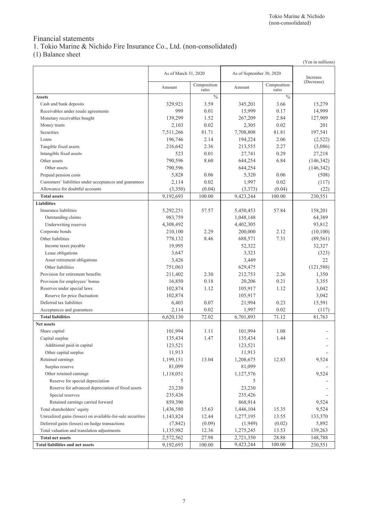# Financial statements

1. Tokio Marine & Nichido Fire Insurance Co., Ltd. (non-consolidated)

(1) Balance sheet

|                                                            |                      |                      |                          |                      | (Yen in millions) |
|------------------------------------------------------------|----------------------|----------------------|--------------------------|----------------------|-------------------|
|                                                            | As of March 31, 2020 |                      | As of September 30, 2020 |                      | Increase          |
|                                                            | Amount               | Composition<br>ratio | Amount                   | Composition<br>ratio | (Decrease)        |
| <b>Assets</b>                                              |                      | $\frac{0}{0}$        |                          | $\frac{0}{0}$        |                   |
| Cash and bank deposits                                     | 329,921              | 3.59                 | 345,201                  | 3.66                 | 15,279            |
| Receivables under resale agreements                        | 999                  | 0.01                 | 15,999                   | 0.17                 | 14,999            |
| Monetary receivables bought                                | 139,299              | 1.52                 | 267,209                  | 2.84                 | 127,909           |
| Money trusts                                               | 2,103                | 0.02                 | 2,305                    | 0.02                 | 201               |
| Securities                                                 | 7,511,266            | 81.71                | 7,708,808                | 81.81                | 197,541           |
| Loans                                                      | 196,746              | 2.14                 | 194,224                  | 2.06                 | (2,522)           |
| Tangible fixed assets                                      | 216,642              | 2.36                 | 213,555                  | 2.27                 | (3,086)           |
| Intangible fixed assets                                    | 523                  | 0.01                 | 27,741                   | 0.29                 | 27,218            |
| Other assets                                               | 790,596              | 8.60                 | 644,254                  | 6.84                 | (146, 342)        |
| Other assets                                               | 790,596              |                      | 644,254                  |                      | (146, 342)        |
| Prepaid pension costs                                      | 5,828                | 0.06                 | 5,320                    | 0.06                 | (508)             |
| Customers' liabilities under acceptances and guarantees    | 2,114                | 0.02                 | 1,997                    | 0.02                 | (117)             |
| Allowance for doubtful accounts                            | (3,350)              | (0.04)               | (3,373)                  | (0.04)               | (22)              |
| <b>Total assets</b>                                        | 9,192,693            | 100.00               | 9,423,244                | 100.00               | 230,551           |
| <b>Liabilities</b>                                         |                      |                      |                          |                      |                   |
| Insurance liabilities                                      | 5,292,251            | 57.57                | 5,450,453                | 57.84                | 158,201           |
| Outstanding claims                                         | 983,759              |                      | 1,048,148                |                      | 64,389            |
| Underwriting reserves                                      | 4,308,492            |                      | 4,402,305                |                      | 93,812            |
| Corporate bonds                                            | 210,100              | 2.29                 | 200,000                  | 2.12                 | (10, 100)         |
| Other liabilities                                          | 778,132              | 8.46                 | 688,571                  | 7.31                 | (89, 561)         |
| Income taxes payable                                       | 19,995               |                      | 52,322                   |                      | 32,327            |
| Lease obligations                                          | 3,647                |                      | 3,323                    |                      | (323)             |
| Asset retirement obligations                               | 3,426                |                      | 3,449                    |                      | 22                |
| Other liabilities                                          | 751,063              |                      | 629,475                  |                      | (121, 588)        |
| Provision for retirement benefits                          | 211,402              | 2.30                 | 212,753                  | 2.26                 | 1,350             |
| Provision for employees' bonus                             | 16,850               | 0.18                 | 20,206                   | 0.21                 | 3,355             |
| Reserves under special laws                                | 102,874              | 1.12                 | 105,917                  | 1.12                 | 3,042             |
| Reserve for price fluctuation                              | 102,874              |                      | 105,917                  |                      | 3,042             |
| Deferred tax liabilities                                   | 6,403                | 0.07                 | 21,994                   | 0.23                 | 15,591            |
| Acceptances and guarantees                                 | 2,114                | 0.02                 | 1,997                    | 0.02                 | (117)             |
| <b>Total liabilities</b>                                   | 6,620,130            | 72.02                | 6,701,893                | 71.12                | 81,763            |
| <b>Net assets</b>                                          |                      |                      |                          |                      |                   |
| Share capital                                              | 101,994              | 1.11                 | 101,994                  | 1.08                 |                   |
| Capital surplus                                            | 135,434              | 1.47                 | 135,434                  | 1.44                 |                   |
| Additional paid-in capital                                 | 123,521              |                      | 123,521                  |                      |                   |
| Other capital surplus                                      | 11,913               |                      | 11,913                   |                      |                   |
| Retained earnings                                          | 1,199,151            | 13.04                | 1,208,675                | 12.83                | 9,524             |
| Surplus reserve                                            | 81,099               |                      | 81,099                   |                      |                   |
| Other retained earnings                                    | 1,118,051            |                      | 1,127,576                |                      | 9,524             |
| Reserve for special depreciation                           | 5                    |                      | 5                        |                      |                   |
| Reserve for advanced depreciation of fixed assets          | 23,230               |                      | 23,230                   |                      |                   |
| Special reserves                                           | 235,426              |                      | 235,426                  |                      |                   |
| Retained earnings carried forward                          | 859,390              |                      | 868,914                  |                      | 9,524             |
| Total shareholders' equity                                 | 1,436,580            | 15.63                | 1,446,104                | 15.35                | 9,524             |
| Unrealized gains (losses) on available-for-sale securities | 1,143,824            | 12.44                | 1,277,195                | 13.55                | 133,370           |
| Deferred gains (losses) on hedge transactions              | (7, 842)             | (0.09)               | (1,949)                  | (0.02)               | 5,892             |
| Total valuation and translation adjustments                | 1,135,982            | 12.36                | 1,275,245                | 13.53                | 139,263           |
| <b>Total net assets</b>                                    | 2,572,562            | 27.98                | 2,721,350                | 28.88                | 148,788           |
| <b>Total liabilities and net assets</b>                    | 9,192,693            | 100.00               | 9,423,244                | 100.00               | 230,551           |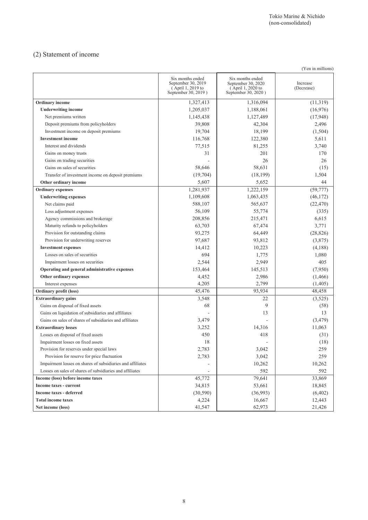# (2) Statement of income

|                                                            |                                                                                    |                                                                                    | (Yen in millions)      |
|------------------------------------------------------------|------------------------------------------------------------------------------------|------------------------------------------------------------------------------------|------------------------|
|                                                            | Six months ended<br>September 30, 2019<br>(April 1, 2019 to<br>September 30, 2019) | Six months ended<br>September 30, 2020<br>(April 1, 2020 to<br>September 30, 2020) | Increase<br>(Decrease) |
| Ordinary income                                            | 1,327,413                                                                          | 1,316,094                                                                          | (11,319)               |
| <b>Underwriting income</b>                                 | 1,205,037                                                                          | 1,188,061                                                                          | (16,976)               |
| Net premiums written                                       | 1,145,438                                                                          | 1,127,489                                                                          | (17,948)               |
| Deposit premiums from policyholders                        | 39,808                                                                             | 42,304                                                                             | 2,496                  |
| Investment income on deposit premiums                      | 19,704                                                                             | 18,199                                                                             | (1,504)                |
| <b>Investment</b> income                                   | 116,768                                                                            | 122,380                                                                            | 5,611                  |
| Interest and dividends                                     | 77,515                                                                             | 81,255                                                                             | 3,740                  |
| Gains on money trusts                                      | 31                                                                                 | 201                                                                                | 170                    |
| Gains on trading securities                                |                                                                                    | 26                                                                                 | 26                     |
| Gains on sales of securities                               | 58,646                                                                             | 58,631                                                                             | (15)                   |
| Transfer of investment income on deposit premiums          | (19,704)                                                                           | (18, 199)                                                                          | 1,504                  |
| Other ordinary income                                      | 5,607                                                                              | 5,652                                                                              | 44                     |
| <b>Ordinary</b> expenses                                   | 1,281,937                                                                          | 1,222,159                                                                          | (59, 777)              |
| <b>Underwriting expenses</b>                               | 1,109,608                                                                          | 1,063,435                                                                          | (46, 172)              |
| Net claims paid                                            | 588,107                                                                            | 565,637                                                                            | (22, 470)              |
| Loss adjustment expenses                                   | 56,109                                                                             | 55,774                                                                             | (335)                  |
| Agency commissions and brokerage                           | 208,856                                                                            | 215,471                                                                            | 6,615                  |
| Maturity refunds to policyholders                          | 63,703                                                                             | 67,474                                                                             | 3,771                  |
| Provision for outstanding claims                           | 93,275                                                                             | 64,449                                                                             | (28, 826)              |
| Provision for underwriting reserves                        | 97,687                                                                             | 93,812                                                                             | (3,875)                |
| <b>Investment expenses</b>                                 | 14,412                                                                             | 10,223                                                                             | (4,188)                |
| Losses on sales of securities                              | 694                                                                                | 1,775                                                                              | 1,080                  |
| Impairment losses on securities                            | 2,544                                                                              | 2,949                                                                              | 405                    |
| Operating and general administrative expenses              | 153,464                                                                            | 145,513                                                                            | (7,950)                |
| Other ordinary expenses                                    | 4,452                                                                              | 2,986                                                                              | (1, 466)               |
| Interest expenses                                          | 4,205                                                                              | 2,799                                                                              | (1,405)                |
| Ordinary profit (loss)                                     | 45,476                                                                             | 93,934                                                                             | 48,458                 |
| <b>Extraordinary gains</b>                                 | 3,548                                                                              | 22                                                                                 | (3,525)                |
| Gains on disposal of fixed assets                          | 68                                                                                 | 9                                                                                  | (58)                   |
| Gains on liquidation of subsidiaries and affiliates        |                                                                                    | 13                                                                                 | 13                     |
| Gains on sales of shares of subsidiaries and affiliates    | 3,479                                                                              |                                                                                    | (3, 479)               |
| <b>Extraordinary losses</b>                                | 3,252                                                                              | 14,316                                                                             | 11,063                 |
| Losses on disposal of fixed assets                         | 450                                                                                | 418                                                                                | (31)                   |
| Impairment losses on fixed assets                          | 18                                                                                 |                                                                                    | (18)                   |
| Provision for reserves under special laws                  | 2,783                                                                              | 3,042                                                                              | 259                    |
| Provision for reserve for price fluctuation                | 2,783                                                                              | 3,042                                                                              | 259                    |
| Impairment losses on shares of subsidiaries and affiliates |                                                                                    | 10,262                                                                             | 10,262                 |
| Losses on sales of shares of subsidiaries and affiliates   |                                                                                    | 592                                                                                | 592                    |
| Income (loss) before income taxes                          | 45,772                                                                             | 79,641                                                                             | 33,869                 |
| Income taxes - current                                     | 34,815                                                                             | 53,661                                                                             | 18,845                 |
| <b>Income taxes - deferred</b>                             | (30, 590)                                                                          | (36,993)                                                                           | (6, 402)               |
| <b>Total income taxes</b>                                  | 4,224                                                                              | 16,667                                                                             | 12,443                 |
| Net income (loss)                                          | 41,547                                                                             | 62,973                                                                             | 21,426                 |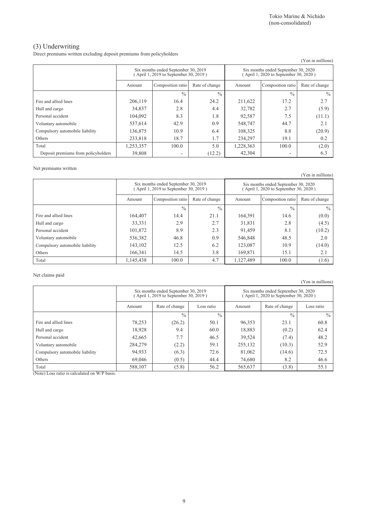### (3) Underwriting

Direct premiums written excluding deposit premiums from policyholders

|                                     |                                                                              |                   |                |                                                                             |                          | (Yen in millions) |
|-------------------------------------|------------------------------------------------------------------------------|-------------------|----------------|-----------------------------------------------------------------------------|--------------------------|-------------------|
|                                     | Six months ended September 30, 2019<br>(April 1, 2019 to September 30, 2019) |                   |                | Six months ended September 30, 2020<br>April 1, 2020 to September 30, 2020) |                          |                   |
|                                     | Amount                                                                       | Composition ratio | Rate of change | Amount                                                                      | Composition ratio        | Rate of change    |
|                                     |                                                                              | $\frac{0}{0}$     | $\frac{0}{0}$  |                                                                             | $\frac{0}{0}$            | $\frac{0}{0}$     |
| Fire and allied lines               | 206.119                                                                      | 16.4              | 24.2           | 211,622                                                                     | 17.2                     | 2.7               |
| Hull and cargo                      | 34,837                                                                       | 2.8               | 4.4            | 32,782                                                                      | 2.7                      | (5.9)             |
| Personal accident                   | 104,092                                                                      | 8.3               | 1.8            | 92,587                                                                      | 7.5                      | (11.1)            |
| Voluntary automobile                | 537,614                                                                      | 42.9              | 0.9            | 548,747                                                                     | 44.7                     | 2.1               |
| Compulsory automobile liability     | 136,875                                                                      | 10.9              | 6.4            | 108.325                                                                     | 8.8                      | (20.9)            |
| Others                              | 233,818                                                                      | 18.7              | 1.7            | 234.297                                                                     | 19.1                     | 0.2               |
| Total                               | 1,253,357                                                                    | 100.0             | 5.0            | 1,228,363                                                                   | 100.0                    | (2.0)             |
| Deposit premiums from policyholders | 39,808                                                                       |                   | (12.2)         | 42,304                                                                      | $\overline{\phantom{0}}$ | 6.3               |

#### Net premiums written

(Yen in millions) Six months ended September 30, 2019 ( April 1, 2019 to September 30, 2019 ) Six months ended September 30, 2020 ( April 1, 2020 to September 30, 2020 ) Amount Composition ratio Rate of change Amount Composition ratio Rate of change  $\frac{9}{6}$  %  $\frac{9}{6}$  %  $\frac{9}{6}$ Fire and allied lines 164,407 164,407 14.4 21.1 164,391 14.6 14.6 (0.0) Hull and cargo 2.8 | 33,331 | 2.9 | 2.7 | 31,831 | 2.8 | (4.5) Personal accident 101,872 8.9 2.3 91,459 8.1 (10.2) Voluntary automobile <br>
536,382 46.8 0.9 546,848 48.5 2.0 Compulsory automobile liability 143,102 12.5 6.2 123,087 10.9 10.9 (14.0) Others 166,341 14.5 3.8 169,871 15.1 2.1 Total 1,145,438 100.0 4.7 1,127,489 100.0 1.6)

Net claims paid

(Yen in millions)

|                                 | Six months ended September 30, 2019<br>April 1, 2019 to September 30, 2019) |                |               | Six months ended September 30, 2020<br>April 1, 2020 to September 30, 2020) |                |               |
|---------------------------------|-----------------------------------------------------------------------------|----------------|---------------|-----------------------------------------------------------------------------|----------------|---------------|
|                                 | Amount                                                                      | Rate of change | Loss ratio    | Amount                                                                      | Rate of change | Loss ratio    |
|                                 |                                                                             | $\frac{0}{0}$  | $\frac{0}{0}$ |                                                                             | $\frac{0}{0}$  | $\frac{0}{0}$ |
| Fire and allied lines           | 78,253                                                                      | (26.2)         | 50.1          | 96,353                                                                      | 23.1           | 60.8          |
| Hull and cargo                  | 18,928                                                                      | 9.4            | 60.0          | 18,883                                                                      | (0.2)          | 62.4          |
| Personal accident               | 42,665                                                                      | 7.7            | 46.5          | 39,524                                                                      | (7.4)          | 48.2          |
| Voluntary automobile            | 284,279                                                                     | (2.2)          | 59.1          | 255,132                                                                     | (10.3)         | 52.9          |
| Compulsory automobile liability | 94,933                                                                      | (6.3)          | 72.6          | 81,062                                                                      | (14.6)         | 72.5          |
| Others                          | 69,046                                                                      | (0.5)          | 44.4          | 74,680                                                                      | 8.2            | 46.6          |
| Total                           | 588,107                                                                     | (5.8)          | 56.2          | 565,637                                                                     | (3.8)          | 55.1          |

(Note) Loss ratio is calculated on W/P basis.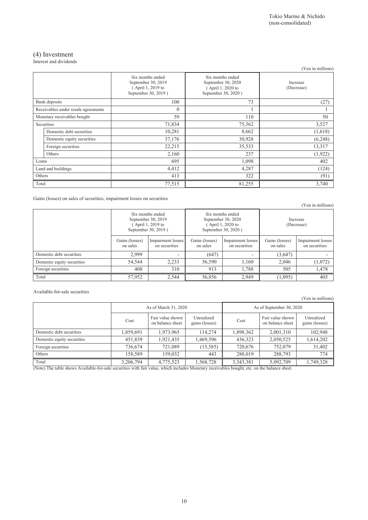# (4) Investment

Interest and dividends

| micrest and arrigence               |                                                                                    |                                                                                    | (Yen in millions)      |
|-------------------------------------|------------------------------------------------------------------------------------|------------------------------------------------------------------------------------|------------------------|
|                                     | Six months ended<br>September 30, 2019<br>(April 1, 2019 to<br>September 30, 2019) | Six months ended<br>September 30, 2020<br>(April 1, 2020 to<br>September 30, 2020) | Increase<br>(Decrease) |
| Bank deposits                       | 100                                                                                | 73                                                                                 | (27)                   |
| Receivables under resale agreements | $\theta$                                                                           | 1                                                                                  |                        |
| Monetary receivables bought         | 59                                                                                 | 110                                                                                | 50                     |
| Securities                          | 71,834                                                                             | 75,362                                                                             | 3,527                  |
| Domestic debt securities            | 10,281                                                                             | 8,662                                                                              | (1,618)                |
| Domestic equity securities          | 37,176                                                                             | 30,928                                                                             | (6,248)                |
| Foreign securities                  | 22,215                                                                             | 35,533                                                                             | 13,317                 |
| Others                              | 2,160                                                                              | 237                                                                                | (1, 922)               |
| Loans                               | 695                                                                                | 1,098                                                                              | 402                    |
| Land and buildings                  | 4,412                                                                              | 4,287                                                                              | (124)                  |
| Others                              | 413                                                                                | 322                                                                                | (91)                   |
| Total                               | 77,515                                                                             | 81,255                                                                             | 3,740                  |

Gains (losses) on sales of securities, impairment losses on securities

|                            |                                                                                    |                                    |                                                                                   |                                    |                            | (Yen in millions)                  |
|----------------------------|------------------------------------------------------------------------------------|------------------------------------|-----------------------------------------------------------------------------------|------------------------------------|----------------------------|------------------------------------|
|                            | Six months ended<br>September 30, 2019<br>(April 1, 2019 to<br>September 30, 2019) |                                    | Six months ended<br>September 30, 2020<br>April 1, 2020 to<br>September 30, 2020) |                                    | Increase<br>(Decrease)     |                                    |
|                            | Gains (losses)<br>on sales                                                         | Impairment losses<br>on securities | Gains (losses)<br>on sales                                                        | Impairment losses<br>on securities | Gains (losses)<br>on sales | Impairment losses<br>on securities |
| Domestic debt securities   | 2.999                                                                              | $\overline{\phantom{0}}$           | (647)                                                                             | $\overline{\phantom{0}}$           | (3,647)                    |                                    |
| Domestic equity securities | 54,544                                                                             | 2.233                              | 56,590                                                                            | 1.160                              | 2.046                      | (1,072)                            |
| Foreign securities         | 408                                                                                | 310                                | 913                                                                               | 1,788                              | 505                        | 1,478                              |
| Total                      | 57,952                                                                             | 2,544                              | 56,856                                                                            | 2.949                              | (1,095)                    | 405                                |

Available-for-sale securities

(Yen in millions)

|                            | As of March 31, 2020 |                                      |                              | As of September 30, 2020 |                                      |                              |
|----------------------------|----------------------|--------------------------------------|------------------------------|--------------------------|--------------------------------------|------------------------------|
|                            | Cost                 | Fair value shown<br>on balance sheet | Unrealized<br>gains (losses) | Cost                     | Fair value shown<br>on balance sheet | Unrealized<br>gains (losses) |
| Domestic debt securities   | 1,859,691            | 1,973,965                            | 114.274                      | 1,898,362                | 2,001,310                            | 102,948                      |
| Domestic equity securities | 451,839              | 1,921,435                            | 1,469,596                    | 436,323                  | 2,050,525                            | 1,614,202                    |
| Foreign securities         | 736,674              | 721,089                              | (15, 585)                    | 720,676                  | 752,079                              | 31,402                       |
| Others                     | 158,589              | 159,032                              | 443                          | 288,019                  | 288,793                              | 774                          |
| Total                      | 3,206,794            | 4,775,523                            | 1,568,728                    | 3,343,381                | 5,092,709                            | 1,749,328                    |

(Note) The table shows Available-for-sale securities with fair value, which includes Monetary receivables bought, etc. on the balance sheet.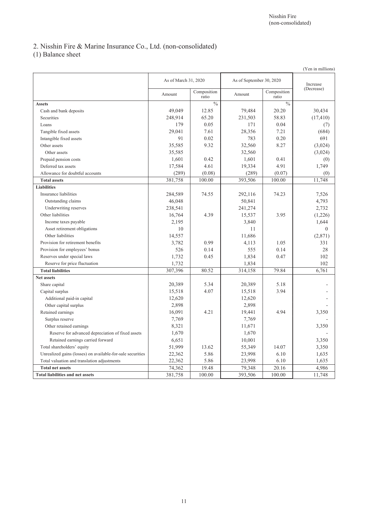# 2. Nisshin Fire & Marine Insurance Co., Ltd. (non-consolidated)

(1) Balance sheet

|                                                            |                      |                      |                          |                      | (Yen in millions) |
|------------------------------------------------------------|----------------------|----------------------|--------------------------|----------------------|-------------------|
|                                                            | As of March 31, 2020 |                      | As of September 30, 2020 |                      | Increase          |
|                                                            | Amount               | Composition<br>ratio | Amount                   | Composition<br>ratio | (Decrease)        |
| <b>Assets</b>                                              |                      | $\frac{0}{0}$        |                          | $\frac{0}{0}$        |                   |
| Cash and bank deposits                                     | 49,049               | 12.85                | 79,484                   | 20.20                | 30,434            |
| Securities                                                 | 248,914              | 65.20                | 231,503                  | 58.83                | (17, 410)         |
| Loans                                                      | 179                  | 0.05                 | 171                      | 0.04                 | (7)               |
| Tangible fixed assets                                      | 29,041               | 7.61                 | 28,356                   | 7.21                 | (684)             |
| Intangible fixed assets                                    | 91                   | 0.02                 | 783                      | 0.20                 | 691               |
| Other assets                                               | 35,585               | 9.32                 | 32,560                   | 8.27                 | (3,024)           |
| Other assets                                               | 35,585               |                      | 32,560                   |                      | (3,024)           |
| Prepaid pension costs                                      | 1,601                | 0.42                 | 1,601                    | 0.41                 | (0)               |
| Deferred tax assets                                        | 17,584               | 4.61                 | 19,334                   | 4.91                 | 1,749             |
| Allowance for doubtful accounts                            | (289)                | (0.08)               | (289)                    | (0.07)               | (0)               |
| <b>Total assets</b>                                        | 381,758              | 100.00               | 393,506                  | 100.00               | 11,748            |
| <b>Liabilities</b>                                         |                      |                      |                          |                      |                   |
| Insurance liabilities                                      | 284,589              | 74.55                | 292,116                  | 74.23                | 7,526             |
| Outstanding claims                                         | 46,048               |                      | 50,841                   |                      | 4,793             |
| Underwriting reserves                                      | 238,541              |                      | 241,274                  |                      | 2,732             |
| Other liabilities                                          | 16,764               | 4.39                 | 15,537                   | 3.95                 | (1,226)           |
| Income taxes payable                                       | 2,195                |                      | 3,840                    |                      | 1,644             |
| Asset retirement obligations                               | 10                   |                      | 11                       |                      | $\theta$          |
| Other liabilities                                          | 14,557               |                      | 11,686                   |                      | (2,871)           |
| Provision for retirement benefits                          | 3,782                | 0.99                 | 4,113                    | 1.05                 | 331               |
| Provision for employees' bonus                             | 526                  | 0.14                 | 555                      | 0.14                 | 28                |
| Reserves under special laws                                | 1,732                | 0.45                 | 1,834                    | 0.47                 | 102               |
| Reserve for price fluctuation                              | 1,732                |                      | 1,834                    |                      | 102               |
| <b>Total liabilities</b>                                   | 307,396              | 80.52                | 314,158                  | 79.84                | 6,761             |
| <b>Net assets</b>                                          |                      |                      |                          |                      |                   |
| Share capital                                              | 20,389               | 5.34                 | 20,389                   | 5.18                 |                   |
| Capital surplus                                            | 15,518               | 4.07                 | 15,518                   | 3.94                 |                   |
| Additional paid-in capital                                 | 12,620               |                      | 12,620                   |                      |                   |
| Other capital surplus                                      | 2,898                |                      | 2,898                    |                      |                   |
| Retained earnings                                          | 16,091               | 4.21                 | 19,441                   | 4.94                 | 3,350             |
| Surplus reserve                                            | 7,769                |                      | 7,769                    |                      |                   |
| Other retained earnings                                    | 8,321                |                      | 11,671                   |                      | 3,350             |
| Reserve for advanced depreciation of fixed assets          | 1,670                |                      | 1,670                    |                      |                   |
| Retained earnings carried forward                          | 6,651                |                      | 10,001                   |                      | 3,350             |
| Total shareholders' equity                                 | 51,999               | 13.62                | 55,349                   | 14.07                | 3,350             |
| Unrealized gains (losses) on available-for-sale securities | 22,362               | 5.86                 | 23,998                   | 6.10                 | 1,635             |
| Total valuation and translation adjustments                | 22,362               | 5.86                 | 23,998                   | 6.10                 | 1,635             |
| <b>Total net assets</b>                                    | 74,362               | 19.48                | 79,348                   | 20.16                | 4,986             |
| <b>Total liabilities and net assets</b>                    | 381,758              | 100.00               | 393,506                  | 100.00               | 11,748            |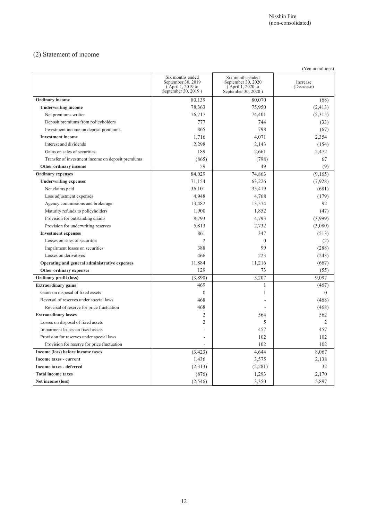# (2) Statement of income

| (Yen in millions)                                 |                                                                                    |                                                                                    |                        |  |  |
|---------------------------------------------------|------------------------------------------------------------------------------------|------------------------------------------------------------------------------------|------------------------|--|--|
|                                                   | Six months ended<br>September 30, 2019<br>(April 1, 2019 to<br>September 30, 2019) | Six months ended<br>September 30, 2020<br>(April 1, 2020 to<br>September 30, 2020) | Increase<br>(Decrease) |  |  |
| <b>Ordinary</b> income                            | 80.139                                                                             | 80.070                                                                             | (68)                   |  |  |
| <b>Underwriting income</b>                        | 78,363                                                                             | 75,950                                                                             | (2, 413)               |  |  |
| Net premiums written                              | 76,717                                                                             | 74,401                                                                             | (2,315)                |  |  |
| Deposit premiums from policyholders               | 777                                                                                | 744                                                                                | (33)                   |  |  |
| Investment income on deposit premiums             | 865                                                                                | 798                                                                                | (67)                   |  |  |
| <b>Investment</b> income                          | 1,716                                                                              | 4,071                                                                              | 2,354                  |  |  |
| Interest and dividends                            | 2,298                                                                              | 2,143                                                                              | (154)                  |  |  |
| Gains on sales of securities                      | 189                                                                                | 2,661                                                                              | 2,472                  |  |  |
| Transfer of investment income on deposit premiums | (865)                                                                              | (798)                                                                              | 67                     |  |  |
| Other ordinary income                             | 59                                                                                 | 49                                                                                 | (9)                    |  |  |
| <b>Ordinary expenses</b>                          | 84,029                                                                             | 74,863                                                                             | (9,165)                |  |  |
| <b>Underwriting expenses</b>                      | 71,154                                                                             | 63,226                                                                             | (7,928)                |  |  |
| Net claims paid                                   | 36,101                                                                             | 35,419                                                                             | (681)                  |  |  |
| Loss adjustment expenses                          | 4,948                                                                              | 4,768                                                                              | (179)                  |  |  |
| Agency commissions and brokerage                  | 13,482                                                                             | 13,574                                                                             | 92                     |  |  |
| Maturity refunds to policyholders                 | 1,900                                                                              | 1,852                                                                              | (47)                   |  |  |
| Provision for outstanding claims                  | 8,793                                                                              | 4,793                                                                              | (3,999)                |  |  |
| Provision for underwriting reserves               | 5,813                                                                              | 2,732                                                                              | (3,080)                |  |  |
| <b>Investment expenses</b>                        | 861                                                                                | 347                                                                                | (513)                  |  |  |
| Losses on sales of securities                     | $\overline{2}$                                                                     | $\mathbf{0}$                                                                       | (2)                    |  |  |
| Impairment losses on securities                   | 388                                                                                | 99                                                                                 | (288)                  |  |  |
| Losses on derivatives                             | 466                                                                                | 223                                                                                | (243)                  |  |  |
| Operating and general administrative expenses     | 11,884                                                                             | 11,216                                                                             | (667)                  |  |  |
| Other ordinary expenses                           | 129                                                                                | 73                                                                                 | (55)                   |  |  |
| <b>Ordinary profit (loss)</b>                     | (3,890)                                                                            | 5,207                                                                              | 9,097                  |  |  |
| <b>Extraordinary gains</b>                        | 469                                                                                | $\mathbf{1}$                                                                       | (467)                  |  |  |
| Gains on disposal of fixed assets                 | $\mathbf{0}$                                                                       | 1                                                                                  | $\theta$               |  |  |
| Reversal of reserves under special laws           | 468                                                                                |                                                                                    | (468)                  |  |  |
| Reversal of reserve for price fluctuation         | 468                                                                                |                                                                                    | (468)                  |  |  |
| <b>Extraordinary losses</b>                       | $\overline{2}$                                                                     | 564                                                                                | 562                    |  |  |
| Losses on disposal of fixed assets                | $\overline{2}$                                                                     | 5                                                                                  | $\overline{c}$         |  |  |
| Impairment losses on fixed assets                 |                                                                                    | 457                                                                                | 457                    |  |  |
| Provision for reserves under special laws         |                                                                                    | 102                                                                                | 102                    |  |  |
| Provision for reserve for price fluctuation       |                                                                                    | 102                                                                                | 102                    |  |  |
| Income (loss) before income taxes                 | (3, 423)                                                                           | 4,644                                                                              | 8,067                  |  |  |
| Income taxes - current                            | 1,436                                                                              | 3,575                                                                              | 2,138                  |  |  |
| <b>Income taxes - deferred</b>                    | (2,313)                                                                            | (2,281)                                                                            | 32                     |  |  |
| <b>Total income taxes</b>                         | (876)                                                                              | 1,293                                                                              | 2,170                  |  |  |
| Net income (loss)                                 | (2, 546)                                                                           | 3,350                                                                              | 5,897                  |  |  |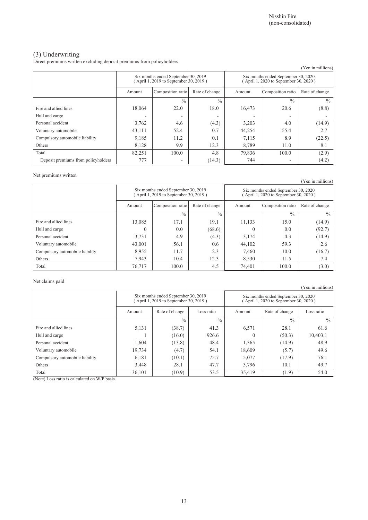(Yen in millions)

### (3) Underwriting

Direct premiums written excluding deposit premiums from policyholders

| (1 сн ш шшпону)                     |                                                                              |                   |                |                                                                             |                   |                |
|-------------------------------------|------------------------------------------------------------------------------|-------------------|----------------|-----------------------------------------------------------------------------|-------------------|----------------|
|                                     | Six months ended September 30, 2019<br>(April 1, 2019 to September 30, 2019) |                   |                | Six months ended September 30, 2020<br>April 1, 2020 to September 30, 2020) |                   |                |
|                                     | Amount                                                                       | Composition ratio | Rate of change | Amount                                                                      | Composition ratio | Rate of change |
|                                     |                                                                              | $\frac{0}{0}$     | $\frac{0}{0}$  |                                                                             | $\frac{0}{0}$     | $\frac{0}{0}$  |
| Fire and allied lines               | 18,064                                                                       | 22.0              | 18.0           | 16,473                                                                      | 20.6              | (8.8)          |
| Hull and cargo                      |                                                                              |                   | -              |                                                                             | -                 |                |
| Personal accident                   | 3,762                                                                        | 4.6               | (4.3)          | 3,203                                                                       | 4.0               | (14.9)         |
| Voluntary automobile                | 43,111                                                                       | 52.4              | 0.7            | 44,254                                                                      | 55.4              | 2.7            |
| Compulsory automobile liability     | 9,185                                                                        | 11.2              | 0.1            | 7,115                                                                       | 8.9               | (22.5)         |
| Others                              | 8,128                                                                        | 9.9               | 12.3           | 8,789                                                                       | 11.0              | 8.1            |
| Total                               | 82,251                                                                       | 100.0             | 4.8            | 79,836                                                                      | 100.0             | (2.9)          |
| Deposit premiums from policyholders | 777                                                                          |                   | (14.3)         | 744                                                                         | ۰                 | (4.2)          |

#### Net premiums written

(Yen in millions) Six months ended September 30, 2019 ( April 1, 2019 to September 30, 2019 ) Six months ended September 30, 2020 ( April 1, 2020 to September 30, 2020 ) Amount Composition ratio Rate of change Amount Composition ratio Rate of change  $\frac{9}{6}$  %  $\frac{9}{6}$  %  $\frac{9}{6}$ Fire and allied lines 13,085 17.1 19.1 11,133 15.0 15.0 (14.9) Hull and cargo 0 0.0 (68.6) 0 0.0 (92.7) Personal accident 3,731 4.9 (4.3) 3,174 4.3 (14.9) Voluntary automobile **43,001** 56.1 0.6 44,102 59.3 2.6 Compulsory automobile liability  $8,955$  11.7 2.3 7,460 10.0 (16.7) Others 2.4 10.4 12.3 8,530 11.5 7.4 Total 100.0 100.0 100.0 100.0 100.0 100.0 100.0 100.0 100.0 100.0 100.0 100.0 100.0 100.0 100.0 100.0 100.0 10

#### Net claims paid

Six months ended September 30, 2019 ( April 1, 2019 to September 30, 2019 ) Six months ended September 30, 2020 ( April 1, 2020 to September 30, 2020 ) Amount Rate of change Loss ratio Amount Rate of change Loss ratio  $\frac{9}{6}$  %  $\frac{9}{6}$  %  $\frac{9}{6}$ Fire and allied lines 1.6.5.131 (38.7) 41.3 6,571 28.1 61.6 Hull and cargo **1** (16.0) 926.6 0 (50.3) 10,403.1 Personal accident 1,604 (13.8) 48.4 1,365 (14.9) 48.9 Voluntary automobile 19,734 (4.7) 54.1 18,609 (5.7) 49.6 Compulsory automobile liability  $6,181$   $(10.1)$   $75.7$   $5,077$   $(17.9)$   $76.1$ Others 28.1 47.7 3,796 10.1 49.7 49.7 49.7 Total 10.9) 53.5 35,419 (1.9) 54.0

(Note) Loss ratio is calculated on W/P basis.

(Yen in millions)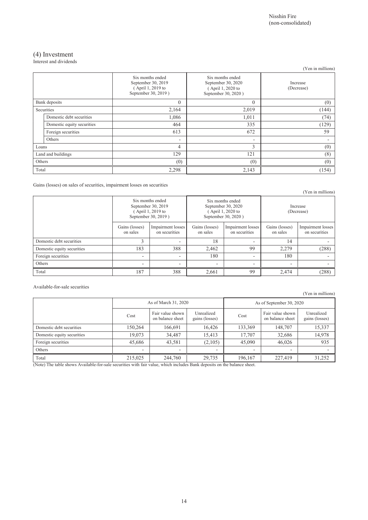### (4) Investment

Interest and dividends

|        |                            |                                                                                    |                                                                                    | (Yen in millions)      |
|--------|----------------------------|------------------------------------------------------------------------------------|------------------------------------------------------------------------------------|------------------------|
|        |                            | Six months ended<br>September 30, 2019<br>(April 1, 2019 to<br>September 30, 2019) | Six months ended<br>September 30, 2020<br>(April 1, 2020 to<br>September 30, 2020) | Increase<br>(Decrease) |
|        | Bank deposits              | $\mathbf{0}$                                                                       | $\theta$                                                                           | (0)                    |
|        | Securities                 | 2,164                                                                              | 2,019                                                                              | (144)                  |
|        | Domestic debt securities   | 1,086                                                                              | 1,011                                                                              | (74)                   |
|        | Domestic equity securities | 464                                                                                | 335                                                                                | (129)                  |
|        | Foreign securities         | 613                                                                                | 672                                                                                | 59                     |
|        | Others                     | ٠                                                                                  | $\overline{\phantom{a}}$                                                           |                        |
| Loans  |                            | 4                                                                                  | 3                                                                                  | (0)                    |
|        | Land and buildings         | 129                                                                                | 121                                                                                | (8)                    |
| Others |                            | (0)                                                                                | (0)                                                                                | (0)                    |
| Total  |                            | 2,298                                                                              | 2,143                                                                              | (154)                  |

Gains (losses) on sales of securities, impairment losses on securities

|                            |                            |                                                                                    |                            |                                                                                    |                            | (Yen in millions)                  |
|----------------------------|----------------------------|------------------------------------------------------------------------------------|----------------------------|------------------------------------------------------------------------------------|----------------------------|------------------------------------|
|                            |                            | Six months ended<br>September 30, 2019<br>(April 1, 2019 to<br>September 30, 2019) |                            | Six months ended<br>September 30, 2020<br>(April 1, 2020 to<br>September 30, 2020) | Increase<br>(Decrease)     |                                    |
|                            | Gains (losses)<br>on sales | Impairment losses<br>on securities                                                 | Gains (losses)<br>on sales | Impairment losses<br>on securities                                                 | Gains (losses)<br>on sales | Impairment losses<br>on securities |
| Domestic debt securities   | ◠                          |                                                                                    | 18                         |                                                                                    | 14                         |                                    |
| Domestic equity securities | 183                        | 388                                                                                | 2,462                      | 99                                                                                 | 2,279                      | (288)                              |
| Foreign securities         | $\overline{\phantom{a}}$   | ٠                                                                                  | 180                        |                                                                                    | 180                        |                                    |
| Others                     |                            | $\overline{\phantom{0}}$                                                           | $\overline{\phantom{0}}$   |                                                                                    |                            |                                    |
| Total                      | 187                        | 388                                                                                | 2,661                      | 99                                                                                 | 2,474                      | (288)                              |

Available-for-sale securities

|                            |                          |                                      |                              |                          |                                      | (Yen in millions)            |  |
|----------------------------|--------------------------|--------------------------------------|------------------------------|--------------------------|--------------------------------------|------------------------------|--|
|                            |                          | As of March 31, 2020                 |                              | As of September 30, 2020 |                                      |                              |  |
|                            | Cost                     | Fair value shown<br>on balance sheet | Unrealized<br>gains (losses) | Cost                     | Fair value shown<br>on balance sheet | Unrealized<br>gains (losses) |  |
| Domestic debt securities   | 150,264                  | 166,691                              | 16,426                       | 133,369                  | 148,707                              | 15,337                       |  |
| Domestic equity securities | 19,073                   | 34,487                               | 15,413                       | 17,707                   | 32,686                               | 14,978                       |  |
| Foreign securities         | 45,686                   | 43,581                               | (2,105)                      | 45.090                   | 46.026                               | 935                          |  |
| Others                     | $\overline{\phantom{0}}$ | $\overline{\phantom{a}}$             | ٠                            | $\overline{\phantom{a}}$ | ۰                                    |                              |  |
| Total                      | 215,025                  | 244,760                              | 29,735                       | 196,167                  | 227,419                              | 31,252                       |  |

(Note) The table shows Available-for-sale securities with fair value, which includes Bank deposits on the balance sheet.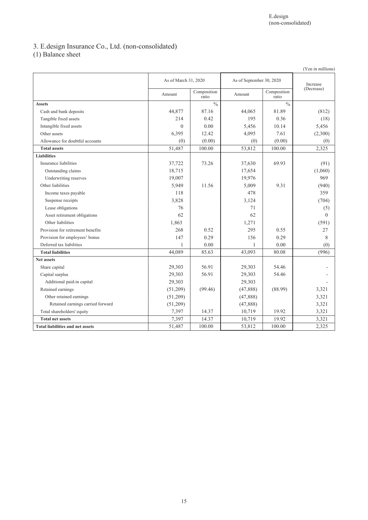# 3. E.design Insurance Co., Ltd. (non-consolidated)

(1) Balance sheet

|                                         |                      |                      |           |                          | (Yen in millions) |  |
|-----------------------------------------|----------------------|----------------------|-----------|--------------------------|-------------------|--|
|                                         | As of March 31, 2020 |                      |           | As of September 30, 2020 |                   |  |
|                                         | Amount               | Composition<br>ratio | Amount    | Composition<br>ratio     | (Decrease)        |  |
| <b>Assets</b>                           |                      | $\frac{0}{0}$        |           | $\frac{0}{0}$            |                   |  |
| Cash and bank deposits                  | 44.877               | 87.16                | 44,065    | 81.89                    | (812)             |  |
| Tangible fixed assets                   | 214                  | 0.42                 | 195       | 0.36                     | (18)              |  |
| Intangible fixed assets                 | $\theta$             | 0.00                 | 5,456     | 10.14                    | 5,456             |  |
| Other assets                            | 6,395                | 12.42                | 4,095     | 7.61                     | (2,300)           |  |
| Allowance for doubtful accounts         | (0)                  | (0.00)               | (0)       | (0.00)                   | (0)               |  |
| <b>Total assets</b>                     | 51,487               | 100.00               | 53,812    | 100.00                   | 2,325             |  |
| <b>Liabilities</b>                      |                      |                      |           |                          |                   |  |
| Insurance liabilities                   | 37,722               | 73.26                | 37,630    | 69.93                    | (91)              |  |
| Outstanding claims                      | 18,715               |                      | 17,654    |                          | (1,060)           |  |
| Underwriting reserves                   | 19,007               |                      | 19,976    |                          | 969               |  |
| Other liabilities                       | 5,949                | 11.56                | 5,009     | 9.31                     | (940)             |  |
| Income taxes payable                    | 118                  |                      | 478       |                          | 359               |  |
| Suspense receipts                       | 3,828                |                      | 3,124     |                          | (704)             |  |
| Lease obligations                       | 76                   |                      | 71        |                          | (5)               |  |
| Asset retirement obligations            | 62                   |                      | 62        |                          | $\theta$          |  |
| Other liabilities                       | 1,863                |                      | 1,271     |                          | (591)             |  |
| Provision for retirement benefits       | 268                  | 0.52                 | 295       | 0.55                     | 27                |  |
| Provision for employees' bonus          | 147                  | 0.29                 | 156       | 0.29                     | 8                 |  |
| Deferred tax liabilities                | 1                    | 0.00                 | 1         | 0.00                     | (0)               |  |
| <b>Total liabilities</b>                | 44,089               | 85.63                | 43,093    | 80.08                    | (996)             |  |
| <b>Net assets</b>                       |                      |                      |           |                          |                   |  |
| Share capital                           | 29,303               | 56.91                | 29,303    | 54.46                    |                   |  |
| Capital surplus                         | 29,303               | 56.91                | 29,303    | 54.46                    |                   |  |
| Additional paid-in capital              | 29,303               |                      | 29,303    |                          |                   |  |
| Retained earnings                       | (51,209)             | (99.46)              | (47,888)  | (88.99)                  | 3,321             |  |
| Other retained earnings                 | (51,209)             |                      | (47,888)  |                          | 3,321             |  |
| Retained earnings carried forward       | (51,209)             |                      | (47, 888) |                          | 3,321             |  |
| Total shareholders' equity              | 7,397                | 14.37                | 10,719    | 19.92                    | 3,321             |  |
| <b>Total net assets</b>                 | 7,397                | 14.37                | 10,719    | 19.92                    | 3,321             |  |
| <b>Total liabilities and net assets</b> | 51,487               | 100.00               | 53,812    | 100.00                   | 2,325             |  |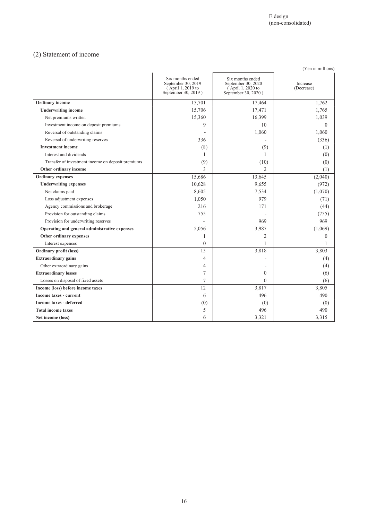# (2) Statement of income

| (Yen in millions)                                 |                                                                                    |                                                                                    |                        |  |  |  |
|---------------------------------------------------|------------------------------------------------------------------------------------|------------------------------------------------------------------------------------|------------------------|--|--|--|
|                                                   | Six months ended<br>September 30, 2019<br>(April 1, 2019 to<br>September 30, 2019) | Six months ended<br>September 30, 2020<br>(April 1, 2020 to<br>September 30, 2020) | Increase<br>(Decrease) |  |  |  |
| Ordinary income                                   | 15,701                                                                             | 17,464                                                                             | 1,762                  |  |  |  |
| <b>Underwriting income</b>                        | 15,706                                                                             | 17,471                                                                             | 1,765                  |  |  |  |
| Net premiums written                              | 15,360                                                                             | 16,399                                                                             | 1,039                  |  |  |  |
| Investment income on deposit premiums             | 9                                                                                  | 10                                                                                 | $\theta$               |  |  |  |
| Reversal of outstanding claims                    |                                                                                    | 1,060                                                                              | 1,060                  |  |  |  |
| Reversal of underwriting reserves                 | 336                                                                                |                                                                                    | (336)                  |  |  |  |
| <b>Investment</b> income                          | (8)                                                                                | (9)                                                                                | (1)                    |  |  |  |
| Interest and dividends                            | 1                                                                                  | 1                                                                                  | (0)                    |  |  |  |
| Transfer of investment income on deposit premiums | (9)                                                                                | (10)                                                                               | (0)                    |  |  |  |
| Other ordinary income                             | 3                                                                                  | $\overline{2}$                                                                     | (1)                    |  |  |  |
| <b>Ordinary</b> expenses                          | 15,686                                                                             | 13,645                                                                             | (2,040)                |  |  |  |
| <b>Underwriting expenses</b>                      | 10,628                                                                             | 9,655                                                                              | (972)                  |  |  |  |
| Net claims paid                                   | 8,605                                                                              | 7,534                                                                              | (1,070)                |  |  |  |
| Loss adjustment expenses                          | 1,050                                                                              | 979                                                                                | (71)                   |  |  |  |
| Agency commissions and brokerage                  | 216                                                                                | 171                                                                                | (44)                   |  |  |  |
| Provision for outstanding claims                  | 755                                                                                |                                                                                    | (755)                  |  |  |  |
| Provision for underwriting reserves               |                                                                                    | 969                                                                                | 969                    |  |  |  |
| Operating and general administrative expenses     | 5,056                                                                              | 3,987                                                                              | (1,069)                |  |  |  |
| Other ordinary expenses                           | 1                                                                                  | 2                                                                                  | $\theta$               |  |  |  |
| Interest expenses                                 | $\theta$                                                                           |                                                                                    |                        |  |  |  |
| Ordinary profit (loss)                            | 15                                                                                 | 3,818                                                                              | 3,803                  |  |  |  |
| <b>Extraordinary gains</b>                        | $\overline{4}$                                                                     | ٠                                                                                  | (4)                    |  |  |  |
| Other extraordinary gains                         | 4                                                                                  |                                                                                    | (4)                    |  |  |  |
| <b>Extraordinary losses</b>                       | 7                                                                                  | $\theta$                                                                           | (6)                    |  |  |  |
| Losses on disposal of fixed assets                | 7                                                                                  | $\overline{0}$                                                                     | (6)                    |  |  |  |
| Income (loss) before income taxes                 | 12                                                                                 | 3,817                                                                              | 3,805                  |  |  |  |
| Income taxes - current                            | 6                                                                                  | 496                                                                                | 490                    |  |  |  |
| <b>Income taxes - deferred</b>                    | (0)                                                                                | (0)                                                                                | (0)                    |  |  |  |
| <b>Total income taxes</b>                         | 5                                                                                  | 496                                                                                | 490                    |  |  |  |
| Net income (loss)                                 | 6                                                                                  | 3,321                                                                              | 3,315                  |  |  |  |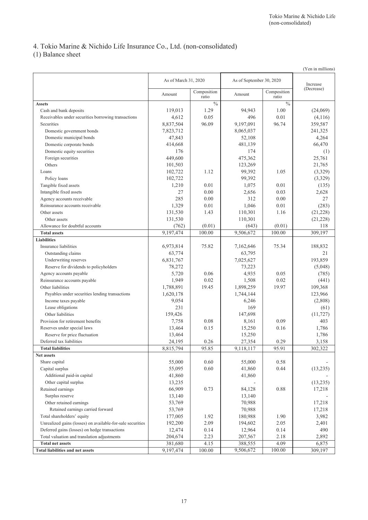# 4. Tokio Marine & Nichido Life Insurance Co., Ltd. (non-consolidated)

(1) Balance sheet

|                                                                                              |                        |                      |                          |                      | (Yen in millions)      |
|----------------------------------------------------------------------------------------------|------------------------|----------------------|--------------------------|----------------------|------------------------|
|                                                                                              | As of March 31, 2020   |                      | As of September 30, 2020 |                      |                        |
|                                                                                              |                        |                      |                          |                      | Increase<br>(Decrease) |
|                                                                                              | Amount                 | Composition<br>ratio | Amount                   | Composition<br>ratio |                        |
| <b>Assets</b>                                                                                |                        | $\frac{0}{0}$        |                          | $\frac{0}{0}$        |                        |
| Cash and bank deposits                                                                       | 119,013                | 1.29                 | 94,943                   | 1.00                 | (24,069)               |
| Receivables under securities borrowing transactions                                          | 4,612                  | 0.05                 | 496                      | 0.01                 | (4,116)                |
| Securities                                                                                   | 8,837,504              | 96.09                | 9,197,091                | 96.74                | 359,587                |
| Domestic government bonds                                                                    | 7,823,712              |                      | 8,065,037                |                      | 241,325                |
| Domestic municipal bonds                                                                     | 47,843                 |                      | 52,108                   |                      | 4,264                  |
| Domestic corporate bonds                                                                     | 414,668                |                      | 481,139                  |                      | 66,470                 |
| Domestic equity securities                                                                   | 176                    |                      | 174                      |                      | (1)                    |
| Foreign securities                                                                           | 449,600                |                      | 475,362                  |                      | 25,761                 |
| Others                                                                                       | 101,503                |                      | 123,269                  |                      | 21,765                 |
| Loans                                                                                        | 102,722                | 1.12                 | 99,392                   | 1.05                 | (3,329)                |
| Policy loans                                                                                 | 102,722                |                      | 99,392                   |                      | (3,329)                |
| Tangible fixed assets                                                                        | 1,210                  | 0.01                 | 1,075                    | 0.01                 | (135)                  |
| Intangible fixed assets                                                                      | 27                     | 0.00                 | 2,656                    | 0.03                 | 2,628                  |
| Agency accounts receivable                                                                   | 285                    | 0.00                 | 312                      | 0.00                 | 27                     |
| Reinsurance accounts receivable                                                              | 1,329                  | 0.01                 | 1,046                    | 0.01                 | (283)                  |
| Other assets                                                                                 | 131,530                | 1.43                 | 110,301                  | 1.16                 | (21, 228)              |
| Other assets                                                                                 | 131,530                |                      | 110,301                  |                      | (21, 228)              |
| Allowance for doubtful accounts                                                              | (762)                  | (0.01)               | (643)                    | (0.01)               | 118                    |
| <b>Total assets</b>                                                                          | $\overline{9,197,474}$ | 100.00               | 9,506,672                | 100.00               | 309,197                |
| <b>Liabilities</b>                                                                           |                        |                      |                          |                      |                        |
| Insurance liabilities                                                                        | 6,973,814              | 75.82                | 7,162,646                | 75.34                | 188,832                |
| Outstanding claims                                                                           | 63,774                 |                      | 63,795                   |                      | 21                     |
| Underwriting reserves                                                                        | 6,831,767              |                      | 7,025,627                |                      | 193,859                |
| Reserve for dividends to policyholders                                                       | 78,272                 |                      | 73,223                   |                      | (5,048)                |
| Agency accounts payable                                                                      | 5,720                  | 0.06                 | 4,935                    | 0.05                 | (785)                  |
| Reinsurance accounts payable                                                                 | 1,949                  | 0.02                 | 1,508                    | 0.02                 | (441)                  |
| Other liabilities                                                                            | 1,788,891              | 19.45                | 1,898,259                | 19.97                | 109,368                |
| Payables under securities lending transactions                                               | 1,620,178              |                      | 1,744,144                |                      | 123,966                |
| Income taxes payable                                                                         | 9,054                  |                      | 6,246                    |                      | (2,808)                |
| Lease obligations                                                                            | 231                    |                      | 169                      |                      | (61)                   |
| Other liabilities                                                                            | 159,426                |                      | 147,698                  |                      | (11, 727)              |
| Provision for retirement benefits                                                            | 7,758                  | 0.08                 | 8,161                    | 0.09                 | 403                    |
| Reserves under special laws                                                                  | 13,464                 | 0.15                 | 15,250                   | 0.16                 | 1,786                  |
| Reserve for price fluctuation                                                                | 13,464                 |                      | 15,250                   |                      | 1,786                  |
| Deferred tax liabilities                                                                     | 24,195                 | 0.26                 | 27,354                   | 0.29                 | 3,158                  |
| <b>Total liabilities</b>                                                                     | 8,815,794              | 95.85                | 9,118,117                | 95.91                | 302,322                |
| Net assets                                                                                   |                        |                      |                          |                      |                        |
| Share capital                                                                                | 55,000                 | 0.60                 | 55,000                   | 0.58                 |                        |
| Capital surplus                                                                              | 55,095                 | $0.60\,$             | 41,860                   | 0.44                 | (13, 235)              |
| Additional paid-in capital                                                                   | 41,860                 |                      | 41,860                   |                      |                        |
| Other capital surplus                                                                        | 13,235                 |                      |                          |                      | (13,235)               |
| Retained earnings                                                                            | 66,909                 | 0.73                 | 84,128                   | 0.88                 | 17,218                 |
| Surplus reserve                                                                              | 13,140                 |                      | 13,140                   |                      |                        |
| Other retained earnings                                                                      | 53,769                 |                      | 70,988                   |                      | 17,218                 |
| Retained earnings carried forward                                                            | 53,769                 |                      | 70,988                   |                      | 17,218                 |
| Total shareholders' equity                                                                   |                        | 1.92                 |                          | 1.90                 |                        |
| Unrealized gains (losses) on available-for-sale securities                                   | 177,005                | 2.09                 | 180,988                  |                      | 3,982                  |
|                                                                                              | 192,200                |                      | 194,602                  | 2.05                 | 2,401                  |
| Deferred gains (losses) on hedge transactions<br>Total valuation and translation adjustments | 12,474                 | 0.14<br>2.23         | 12,964                   | 0.14                 | 490<br>2,892           |
| <b>Total net assets</b>                                                                      | 204,674<br>381,680     | 4.15                 | 207,567<br>388,555       | 2.18<br>4.09         | 6,875                  |
| <b>Total liabilities and net assets</b>                                                      | 9,197,474              | 100.00               | 9,506,672                | 100.00               | 309,197                |
|                                                                                              |                        |                      |                          |                      |                        |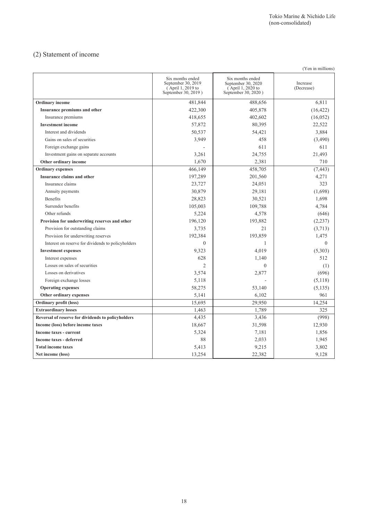# (2) Statement of income

|                                                    |                                                                                    |                                                                                    | (Yen in millions)      |
|----------------------------------------------------|------------------------------------------------------------------------------------|------------------------------------------------------------------------------------|------------------------|
|                                                    | Six months ended<br>September 30, 2019<br>(April 1, 2019 to<br>September 30, 2019) | Six months ended<br>September 30, 2020<br>(April 1, 2020 to<br>September 30, 2020) | Increase<br>(Decrease) |
| <b>Ordinary</b> income                             | 481,844                                                                            | 488,656                                                                            | 6,811                  |
| Insurance premiums and other                       | 422,300                                                                            | 405,878                                                                            | (16, 422)              |
| Insurance premiums                                 | 418,655                                                                            | 402,602                                                                            | (16, 052)              |
| <b>Investment</b> income                           | 57,872                                                                             | 80,395                                                                             | 22,522                 |
| Interest and dividends                             | 50,537                                                                             | 54,421                                                                             | 3,884                  |
| Gains on sales of securities                       | 3,949                                                                              | 458                                                                                | (3,490)                |
| Foreign exchange gains                             |                                                                                    | 611                                                                                | 611                    |
| Investment gains on separate accounts              | 3,261                                                                              | 24,755                                                                             | 21,493                 |
| Other ordinary income                              | 1,670                                                                              | 2,381                                                                              | 710                    |
| <b>Ordinary expenses</b>                           | 466,149                                                                            | 458,705                                                                            | (7, 443)               |
| Insurance claims and other                         | 197,289                                                                            | 201,560                                                                            | 4,271                  |
| Insurance claims                                   | 23,727                                                                             | 24,051                                                                             | 323                    |
| Annuity payments                                   | 30,879                                                                             | 29,181                                                                             | (1,698)                |
| Benefits                                           | 28,823                                                                             | 30,521                                                                             | 1,698                  |
| Surrender benefits                                 | 105,003                                                                            | 109,788                                                                            | 4,784                  |
| Other refunds                                      | 5,224                                                                              | 4,578                                                                              | (646)                  |
| Provision for underwriting reserves and other      | 196,120                                                                            | 193,882                                                                            | (2, 237)               |
| Provision for outstanding claims                   | 3,735                                                                              | 21                                                                                 | (3,713)                |
| Provision for underwriting reserves                | 192,384                                                                            | 193,859                                                                            | 1,475                  |
| Interest on reserve for dividends to policyholders | $\theta$                                                                           | 1                                                                                  | $\theta$               |
| <b>Investment expenses</b>                         | 9,323                                                                              | 4,019                                                                              | (5,303)                |
| Interest expenses                                  | 628                                                                                | 1,140                                                                              | 512                    |
| Losses on sales of securities                      | $\overline{2}$                                                                     | $\overline{0}$                                                                     | (1)                    |
| Losses on derivatives                              | 3,574                                                                              | 2,877                                                                              | (696)                  |
| Foreign exchange losses                            | 5,118                                                                              |                                                                                    | (5,118)                |
| <b>Operating expenses</b>                          | 58,275                                                                             | 53,140                                                                             | (5, 135)               |
| Other ordinary expenses                            | 5,141                                                                              | 6,102                                                                              | 961                    |
| Ordinary profit (loss)                             | 15,695                                                                             | 29,950                                                                             | 14,254                 |
| <b>Extraordinary losses</b>                        | 1,463                                                                              | 1,789                                                                              | 325                    |
| Reversal of reserve for dividends to policyholders | 4,435                                                                              | 3,436                                                                              | (998)                  |
| Income (loss) before income taxes                  | 18,667                                                                             | 31,598                                                                             | 12,930                 |
| Income taxes - current                             | 5,324                                                                              | 7,181                                                                              | 1,856                  |
| Income taxes - deferred                            | 88                                                                                 | 2,033                                                                              | 1,945                  |
| <b>Total income taxes</b>                          | 5,413                                                                              | 9,215                                                                              | 3,802                  |
| Net income (loss)                                  | 13,254                                                                             | 22,382                                                                             | 9,128                  |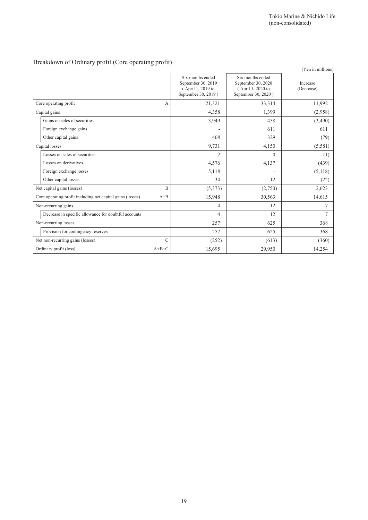# Breakdown of Ordinary profit (Core operating profit)

|                                                            |                |                                                                                    |                                                                                    | (Yen in millions)      |
|------------------------------------------------------------|----------------|------------------------------------------------------------------------------------|------------------------------------------------------------------------------------|------------------------|
|                                                            |                | Six months ended<br>September 30, 2019<br>(April 1, 2019 to<br>September 30, 2019) | Six months ended<br>September 30, 2020<br>(April 1, 2020 to<br>September 30, 2020) | Increase<br>(Decrease) |
| Core operating profit                                      | А              | 21,321                                                                             | 33,314                                                                             | 11,992                 |
| Capital gains                                              |                | 4,358                                                                              | 1,399                                                                              | (2,958)                |
| Gains on sales of securities                               |                | 3,949                                                                              | 458                                                                                | (3,490)                |
| Foreign exchange gains                                     |                | ٠                                                                                  | 611                                                                                | 611                    |
| Other capital gains                                        |                | 408                                                                                | 329                                                                                | (79)                   |
| Capital losses                                             |                | 9,731                                                                              | 4,150                                                                              | (5,581)                |
| Losses on sales of securities                              |                | $\overline{c}$                                                                     | $\Omega$                                                                           | (1)                    |
| Losses on derivatives                                      |                | 4,576                                                                              | 4,137                                                                              | (439)                  |
| Foreign exchange losses                                    |                | 5,118                                                                              |                                                                                    | (5,118)                |
| Other capital losses                                       |                | 34                                                                                 | 12                                                                                 | (22)                   |
| Net capital gains (losses)                                 | $\overline{B}$ | (5,373)                                                                            | (2,750)                                                                            | 2,623                  |
| Core operating profit including net capital gains (losses) | $A + B$        | 15,948                                                                             | 30,563                                                                             | 14,615                 |
| Non-recurring gains                                        |                | 4                                                                                  | 12                                                                                 | 7                      |
| Decrease in specific allowance for doubtful accounts       |                | 4                                                                                  | 12                                                                                 | $\overline{7}$         |
| Non-recurring losses                                       |                | 257                                                                                | 625                                                                                | 368                    |
| Provision for contingency reserves                         |                | 257                                                                                | 625                                                                                | 368                    |
| Net non-recurring gains (losses)                           | $\overline{C}$ | (252)                                                                              | (613)                                                                              | (360)                  |
| Ordinary profit (loss)                                     | $A+B+C$        | 15,695                                                                             | 29,950                                                                             | 14,254                 |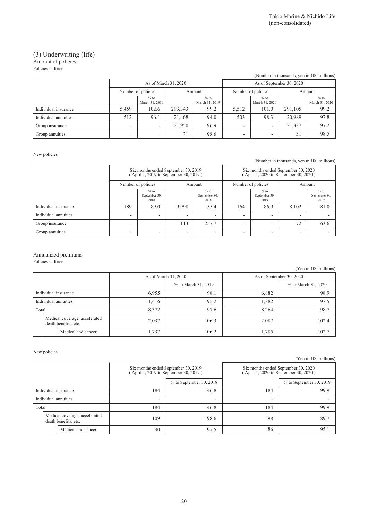#### (3) Underwriting (life) Amount of policies

Policies in force

|                      |                              |                          |         |                          |                    |                          |         | (Number in thousands, yen in 100 millions) |
|----------------------|------------------------------|--------------------------|---------|--------------------------|--------------------|--------------------------|---------|--------------------------------------------|
|                      |                              | As of March 31, 2020     |         |                          |                    | As of September 30, 2020 |         |                                            |
|                      | Number of policies<br>Amount |                          |         |                          | Number of policies | Amount                   |         |                                            |
|                      |                              | $%$ to<br>March 31, 2019 |         | $%$ to<br>March 31, 2019 |                    | $%$ to<br>March 31, 2020 |         | $%$ to<br>March 31, 2020                   |
| Individual insurance | 5,459                        | 102.6                    | 293,343 | 99.2                     | 5,512              | 101.0                    | 291,105 | 99.2                                       |
| Individual annuities | 512                          | 96.1                     | 21,468  | 94.0                     | 503                | 98.3                     | 20,989  | 97.8                                       |
| Group insurance      | $\overline{\phantom{a}}$     |                          | 21,950  | 96.9                     |                    |                          | 21,337  | 97.2                                       |
| Group annuities      | $\overline{\phantom{0}}$     |                          | 31      | 98.6                     | -                  |                          | 31      | 98.5                                       |

New policies

(Number in thousands, yen in 100 millions)

|                      | Six months ended September 30, 2019<br>(April 1, 2019 to September 30, 2019) |                                 |                          |                                 |                    | Six months ended September 30, 2020<br>(April 1, 2020 to September 30, 2020) |                          |                                 |
|----------------------|------------------------------------------------------------------------------|---------------------------------|--------------------------|---------------------------------|--------------------|------------------------------------------------------------------------------|--------------------------|---------------------------------|
|                      | Number of policies                                                           |                                 | Amount                   |                                 | Number of policies |                                                                              | Amount                   |                                 |
|                      |                                                                              | $%$ to<br>September 30,<br>2018 |                          | $%$ to<br>September 30,<br>2018 |                    | $%$ to<br>September 30,<br>2019                                              |                          | $%$ to<br>September 30,<br>2019 |
| Individual insurance | 189                                                                          | 89.0                            | 9.998                    | 55.4                            | 164                | 86.9                                                                         | 8.102                    | 81.0                            |
| Individual annuities | $\overline{\phantom{0}}$                                                     | -                               | $\overline{\phantom{0}}$ | -                               | -                  | -                                                                            | $\overline{\phantom{0}}$ |                                 |
| Group insurance      | $\overline{\phantom{0}}$                                                     | -                               | 113                      | 257.7                           | ۰                  | -                                                                            | 72                       | 63.6                            |
| Group annuities      | $\overline{\phantom{0}}$                                                     | -                               | ٠                        | -                               |                    | -                                                                            | $\overline{\phantom{0}}$ |                                 |

#### Annualized premiums

Policies in force

(Yen in 100 millions)

|                      |                                                       | As of March 31, 2020 |                     |       | As of September 30, 2020 |
|----------------------|-------------------------------------------------------|----------------------|---------------------|-------|--------------------------|
|                      |                                                       |                      | % to March 31, 2019 |       | % to March 31, 2020      |
| Individual insurance |                                                       | 6,955                | 98.1                | 6,882 | 98.9                     |
| Individual annuities |                                                       | 1,416                | 95.2                |       | 97.5                     |
| Total                |                                                       | 8,372                | 97.6                | 8.264 | 98.7                     |
|                      | Medical coverage, accelerated<br>death benefits, etc. | 2,037                | 106.3               | 2,087 | 102.4                    |
| Medical and cancer   |                                                       | 1,737                | 106.2               | 1,785 | 102.7                    |

#### New policies

(Yen in 100 millions)

|                                                       |  |     | Six months ended September 30, 2019<br>(April 1, 2019 to September 30, 2019) |     | Six months ended September 30, 2020<br>(April 1, 2020 to September 30, 2020) |
|-------------------------------------------------------|--|-----|------------------------------------------------------------------------------|-----|------------------------------------------------------------------------------|
|                                                       |  |     | $%$ to September 30, 2018                                                    |     | $%$ to September 30, 2019                                                    |
| Individual insurance                                  |  | 184 | 46.8                                                                         | 184 | 99.9                                                                         |
| Individual annuities                                  |  | -   | $\overline{\phantom{a}}$                                                     | -   |                                                                              |
| Total                                                 |  | 184 | 46.8                                                                         | 184 | 99.9                                                                         |
| Medical coverage, accelerated<br>death benefits, etc. |  | 109 | 98.6                                                                         | 98  | 89.7                                                                         |
| Medical and cancer                                    |  | 90  | 97.5                                                                         | 86  | 95.1                                                                         |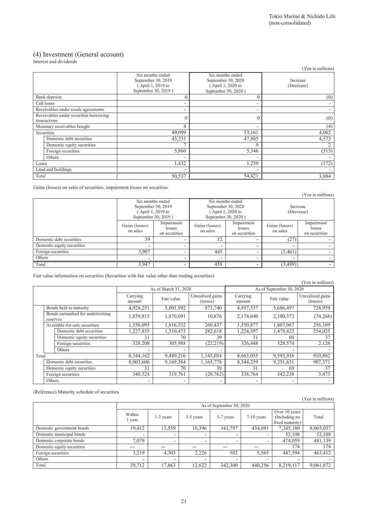# (4) Investment (General account)

Interest and dividends

| morest and arrival                                     |                                                                                    |                                                                                   | (Yen in millions)      |
|--------------------------------------------------------|------------------------------------------------------------------------------------|-----------------------------------------------------------------------------------|------------------------|
|                                                        | Six months ended<br>September 30, 2019<br>(April 1, 2019 to<br>September 30, 2019) | Six months ended<br>September 30, 2020<br>April 1, 2020 to<br>September 30, 2020) | Increase<br>(Decrease) |
| Bank deposits                                          |                                                                                    | $\theta$                                                                          | (0)                    |
| Call loans                                             |                                                                                    |                                                                                   |                        |
| Receivables under resale agreements                    |                                                                                    | ٠                                                                                 |                        |
| Receivables under securities borrowing<br>transactions |                                                                                    | $\theta$                                                                          | (0)                    |
| Monetary receivables bought                            | 4                                                                                  | ۰                                                                                 | (4)                    |
| Securities                                             | 49,099                                                                             | 53,161                                                                            | 4,062                  |
| Domestic debt securities                               | 43,231                                                                             | 47,805                                                                            | 4,573                  |
| Domestic equity securities                             |                                                                                    | 9                                                                                 |                        |
| Foreign securities                                     | 5,860                                                                              | 5,346                                                                             | (513)                  |
| Others                                                 |                                                                                    | -                                                                                 |                        |
| Loans                                                  | 1,432                                                                              | 1,259                                                                             | (172)                  |
| Land and buildings                                     |                                                                                    |                                                                                   |                        |
| Total                                                  | 50,537                                                                             | 54,421                                                                            | 3,884                  |

Gains (losses) on sales of securities, impairment losses on securities

|                            |                            | Six months ended<br>September 30, 2019<br>(April 1, 2019 to<br>September 30, 2019) |                            | Six months ended<br>September 30, 2020<br>April 1, 2020 to<br>September 30, 2020) |                            | Increase<br>(Decrease)                |  |
|----------------------------|----------------------------|------------------------------------------------------------------------------------|----------------------------|-----------------------------------------------------------------------------------|----------------------------|---------------------------------------|--|
|                            | Gains (losses)<br>on sales | Impairment<br>losses<br>on securities                                              | Gains (losses)<br>on sales | Impairment<br>losses<br>on securities                                             | Gains (losses)<br>on sales | Impairment<br>losses<br>on securities |  |
| Domestic debt securities   | 39                         |                                                                                    | 12                         |                                                                                   | (27)                       |                                       |  |
| Domestic equity securities |                            |                                                                                    |                            |                                                                                   |                            |                                       |  |
| Foreign securities         | 3.907                      |                                                                                    | 445                        | -                                                                                 | (3,461)                    |                                       |  |
| Others                     |                            |                                                                                    |                            |                                                                                   |                            |                                       |  |
| Total                      | 3.947                      |                                                                                    | 458                        |                                                                                   | (3,489)                    |                                       |  |

Fair value information on securities (Securities with fair value other than trading securities)

|       |          |                                  |                    |                      |                              |                    |                          | (Yen in millions)                     |
|-------|----------|----------------------------------|--------------------|----------------------|------------------------------|--------------------|--------------------------|---------------------------------------|
|       |          |                                  |                    | As of March 31, 2020 |                              |                    | As of September 30, 2020 |                                       |
|       |          |                                  | Carrying<br>amount | Fair value           | Unrealized gains<br>(losses) | Carrying<br>amount | Fair value               | Unrealized gains<br>$(\text{losses})$ |
|       |          | Bonds held to maturity           | 4,928,251          | 5,801,992            | 873,740                      | 4,957,537          | 5,686,497                | 728,959                               |
|       | reserves | Bonds earmarked for underwriting | 1,859,815          | 1,870,691            | 10,876                       | 2,174,640          | 2,100,373                | (74,266)                              |
|       |          | Available-for-sale securities    | 1,556,095          | 1,816,532            | 260,437                      | 1,550,877          | 1,807,067                | 256,189                               |
|       |          | Domestic debt securities         | 1,227,855          | 1,510,473            | 282,618                      | 1,224,397          | 1,478,422                | 254,025                               |
|       |          | Domestic equity securities       | 31                 | 70                   | 39                           | 31                 | 69                       | 37                                    |
|       |          | Foreign securities               | 328,208            | 305,988              | (22, 219)                    | 326,448            | 328,574                  | 2,126                                 |
|       |          | Others                           |                    |                      |                              |                    |                          |                                       |
| Total |          |                                  | 8,344,162          | 9,489,216            | 1,145,054                    | 8,683,055          | 9,593,938                | 910,882                               |
|       |          | Domestic debt securities         | 8,003,606          | 9,169,384            | 1,165,778                    | 8,344,259          | 9,251,631                | 907,371                               |
|       |          | Domestic equity securities       | 31                 | 70                   | 39                           | 31                 | 69                       | 37                                    |
|       |          | Foreign securities               | 340,524            | 319,761              | (20, 762)                    | 338,764            | 342,238                  | 3,473                                 |
|       | Others   |                                  |                    |                      |                              |                    |                          |                                       |

(Reference) Maturity schedule of securities

|                            |                  |                          |           |                          |              |                                                   | r en in millions) |  |  |  |
|----------------------------|------------------|--------------------------|-----------|--------------------------|--------------|---------------------------------------------------|-------------------|--|--|--|
|                            |                  | As of September 30, 2020 |           |                          |              |                                                   |                   |  |  |  |
|                            | Within<br>1 year | $1-3$ years              | 3-5 years | 5-7 years                | $7-10$ years | Over 10 years<br>(Including no<br>fixed maturity) | Total             |  |  |  |
| Domestic government bonds  | 19,412           | 13,559                   | 10,396    | 341,797                  | 434,691      | 7,245,180                                         | 8,065,037         |  |  |  |
| Domestic municipal bonds   | -                | -                        |           | $\overline{\phantom{a}}$ | -            | 52,108                                            | 52,108            |  |  |  |
| Domestic corporate bonds   | 7.079            | -                        | -         | $\overline{\phantom{0}}$ |              | 474,059                                           | 481,139           |  |  |  |
| Domestic equity securities |                  |                          |           |                          |              | 174                                               | 174               |  |  |  |
| Foreign securities         | 3.219            | 4,303                    | 2,226     | 502                      | 5,565        | 447,594                                           | 463,412           |  |  |  |
| Others                     | -                | -                        | -         | $\overline{\phantom{0}}$ |              |                                                   |                   |  |  |  |
| Total                      | 29,712           | 17,863                   | 12,622    | 342,300                  | 440,256      | 8,219,117                                         | 9,061,872         |  |  |  |

(Yen in millions)

(Yen in millions)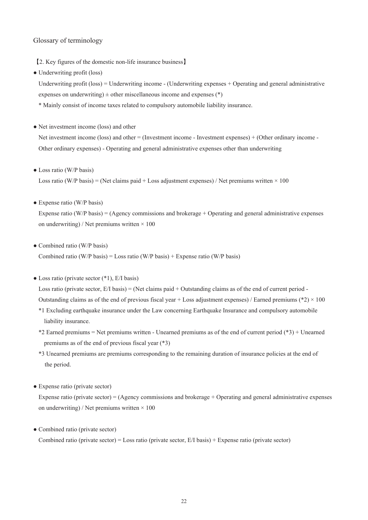#### Glossary of terminology

【2. Key figures of the domestic non-life insurance business】

• Underwriting profit (loss)

Underwriting profit (loss) = Underwriting income - (Underwriting expenses + Operating and general administrative expenses on underwriting)  $\pm$  other miscellaneous income and expenses (\*)

- \* Mainly consist of income taxes related to compulsory automobile liability insurance.
- Net investment income (loss) and other

Net investment income (loss) and other = (Investment income - Investment expenses) + (Other ordinary income - Other ordinary expenses) - Operating and general administrative expenses other than underwriting

• Loss ratio (W/P basis)

Loss ratio (W/P basis) = (Net claims paid + Loss adjustment expenses) / Net premiums written  $\times$  100

• Expense ratio (W/P basis)

Expense ratio (W/P basis) = (Agency commissions and brokerage + Operating and general administrative expenses on underwriting) / Net premiums written  $\times 100$ 

• Combined ratio (W/P basis)

Combined ratio (W/P basis) = Loss ratio (W/P basis) + Expense ratio (W/P basis)

 $\bullet$  Loss ratio (private sector  $(*1)$ , E/I basis)

Loss ratio (private sector,  $E/I$  basis) = (Net claims paid + Outstanding claims as of the end of current period -Outstanding claims as of the end of previous fiscal year + Loss adjustment expenses) / Earned premiums (\*2)  $\times$  100

- \*1 Excluding earthquake insurance under the Law concerning Earthquake Insurance and compulsory automobile liability insurance.
- \*2 Earned premiums = Net premiums written Unearned premiums as of the end of current period (\*3) + Unearned premiums as of the end of previous fiscal year (\*3)
- \*3 Unearned premiums are premiums corresponding to the remaining duration of insurance policies at the end of the period.
- Expense ratio (private sector)

Expense ratio (private sector) = (Agency commissions and brokerage + Operating and general administrative expenses on underwriting) / Net premiums written  $\times$  100

• Combined ratio (private sector)

Combined ratio (private sector) = Loss ratio (private sector, E/I basis) + Expense ratio (private sector)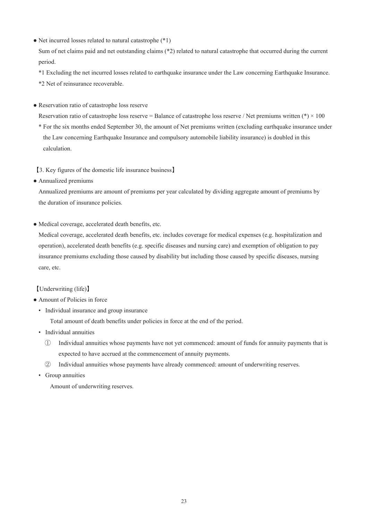• Net incurred losses related to natural catastrophe (\*1)

Sum of net claims paid and net outstanding claims (\*2) related to natural catastrophe that occurred during the current period.

\*1 Excluding the net incurred losses related to earthquake insurance under the Law concerning Earthquake Insurance. \*2 Net of reinsurance recoverable.

● Reservation ratio of catastrophe loss reserve

Reservation ratio of catastrophe loss reserve = Balance of catastrophe loss reserve / Net premiums written (\*)  $\times$  100 \* For the six months ended September 30, the amount of Net premiums written (excluding earthquake insurance under the Law concerning Earthquake Insurance and compulsory automobile liability insurance) is doubled in this calculation.

【3. Key figures of the domestic life insurance business】

● Annualized premiums

Annualized premiums are amount of premiums per year calculated by dividing aggregate amount of premiums by the duration of insurance policies.

● Medical coverage, accelerated death benefits, etc.

Medical coverage, accelerated death benefits, etc. includes coverage for medical expenses (e.g. hospitalization and operation), accelerated death benefits (e.g. specific diseases and nursing care) and exemption of obligation to pay insurance premiums excluding those caused by disability but including those caused by specific diseases, nursing care, etc.

### 【Underwriting (life)】

- Amount of Policies in force
	- Individual insurance and group insurance

Total amount of death benefits under policies in force at the end of the period.

- Individual annuities
	- ① Individual annuities whose payments have not yet commenced: amount of funds for annuity payments that is expected to have accrued at the commencement of annuity payments.
	- ② Individual annuities whose payments have already commenced: amount of underwriting reserves.
- Group annuities

Amount of underwriting reserves.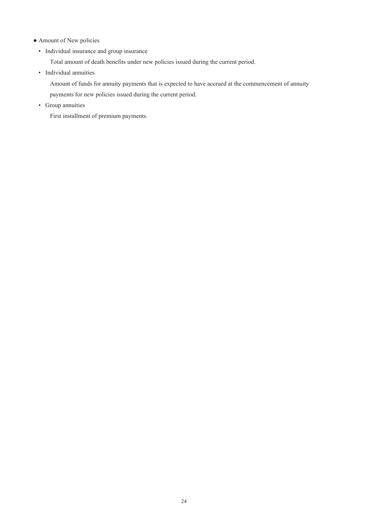- Amount of New policies
	- Individual insurance and group insurance

Total amount of death benefits under new policies issued during the current period.

• Individual annuities

Amount of funds for annuity payments that is expected to have accrued at the commencement of annuity payments for new policies issued during the current period.

• Group annuities

First installment of premium payments.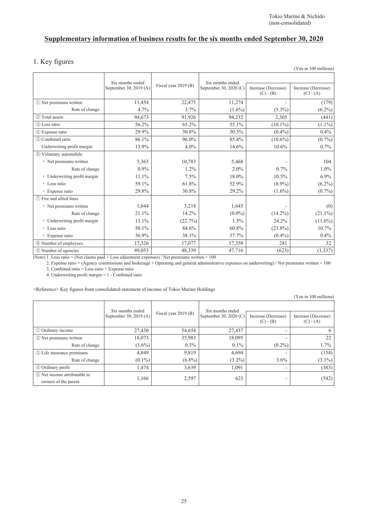# **Supplementary information of business results for the six months ended September 30, 2020**

### 1. Key figures

|                              |                                            |                      |                                            |                                    | (Yen in 100 millions)              |
|------------------------------|--------------------------------------------|----------------------|--------------------------------------------|------------------------------------|------------------------------------|
|                              | Six months ended<br>September 30, 2019 (A) | Fiscal year 2019 (B) | Six months ended<br>September 30, 2020 (C) | Increase (Decrease)<br>$(C) - (B)$ | Increase (Decrease)<br>$(C) - (A)$ |
| 1 Net premiums written       | 11,454                                     | 22,475               | 11,274                                     |                                    | (179)                              |
| Rate of change               | 4.7%                                       | $3.7\%$              | $(1.6\%)$                                  | $(5.3\%)$                          | $(6.2\%)$                          |
| 2 Total assets               | 94,673                                     | 91,926               | 94,232                                     | 2,305                              | (441)                              |
| 3 Loss ratio                 | 56.2%                                      | 65.2%                | 55.1%                                      | $(10.1\%)$                         | $(1.1\%)$                          |
| 4 Expense ratio              | 29.9%                                      | 30.8%                | 30.3%                                      | $(0.4\%)$                          | 0.4%                               |
| 5 Combined ratio             | 86.1%                                      | 96.0%                | 85.4%                                      | $(10.6\%)$                         | $(0.7\%)$                          |
| Underwriting profit margin   | 13.9%                                      | $4.0\%$              | 14.6%                                      | 10.6%                              | 0.7%                               |
| 6 Voluntary automobile       |                                            |                      |                                            |                                    |                                    |
| • Net premiums written       | 5,363                                      | 10,783               | 5,468                                      |                                    | 104                                |
| Rate of change               | 0.9%                                       | 1.2%                 | 2.0%                                       | 0.7%                               | 1.0%                               |
| • Underwriting profit margin | 11.1%                                      | 7.5%                 | 18.0%                                      | 10.5%                              | $6.9\%$                            |
| • Loss ratio                 | 59.1%                                      | 61.8%                | 52.9%                                      | $(8.9\%)$                          | $(6.2\%)$                          |
| • Expense ratio              | 29.8%                                      | 30.8%                | 29.2%                                      | $(1.6\%)$                          | $(0.7\%)$                          |
| (7) Fire and allied lines    |                                            |                      |                                            |                                    |                                    |
| · Net premiums written       | 1,644                                      | 3,218                | 1,643                                      |                                    | (0)                                |
| Rate of change               | 21.1%                                      | 14.2%                | $(0.0\%)$                                  | $(14.2\%)$                         | $(21.1\%)$                         |
| • Underwriting profit margin | 13.1%                                      | (22.7%)              | 1.5%                                       | 24.2%                              | $(11.6\%)$                         |
| • Loss ratio                 | 50.1%                                      | 84.6%                | 60.8%                                      | $(23.8\%)$                         | 10.7%                              |
| • Expense ratio              | 36.9%                                      | 38.1%                | 37.7%                                      | $(0.4\%)$                          | $0.8\%$                            |
| 8 Number of employees        | 17,326                                     | 17,077               | 17,358                                     | 281                                | 32                                 |
| <b>9 Number of agencies</b>  | 49,053                                     | 48,339               | 47,716                                     | (623)                              | (1, 337)                           |

(Note) 1. Loss ratio = (Net claims paid + Loss adjustment expenses) / Net premiums written  $\times$  100

2. Expense ratio = (Agency commissions and brokerage + Operating and general administrative expenses on underwriting) / Net premiums written × 100 3. Combined ratio = Loss ratio + Expense ratio

4. Underwriting profit margin = 1 - Combined ratio

<Reference> Key figures from consolidated statement of income of Tokio Marine Holdings

(Yen in 100 millions)

|                                                      | Six months ended<br>September 30, 2019 (A) | Fiscal year 2019 (B) | Six months ended<br>September 30, 2020 (C) | Increase (Decrease)<br>$(C) - (B)$ | Increase (Decrease)<br>$(C) - (A)$ |
|------------------------------------------------------|--------------------------------------------|----------------------|--------------------------------------------|------------------------------------|------------------------------------|
|                                                      |                                            |                      |                                            |                                    |                                    |
| 1 Ordinary income                                    | 27,430                                     | 54,654               | 27,437                                     |                                    | 6                                  |
| 2 Net premiums written                               | 18,073                                     | 35,983               | 18,095                                     |                                    | 22                                 |
| Rate of change                                       | $(1.6\%)$                                  | $0.3\%$              | $0.1\%$                                    | $(0.2\%)$                          | $1.7\%$                            |
| <b>3</b> Life insurance premiums                     | 4,849                                      | 9,819                | 4,694                                      |                                    | (154)                              |
| Rate of change                                       | $(0.1\%)$                                  | $(6.8\%)$            | $(3.2\%)$                                  | $3.6\%$                            | $(3.1\%)$                          |
| 4 Ordinary profit                                    | 1,474                                      | 3,639                | 1,091                                      |                                    | (383)                              |
| 5 Net income attributable to<br>owners of the parent | 1,166                                      | 2,597                | 623                                        |                                    | (542)                              |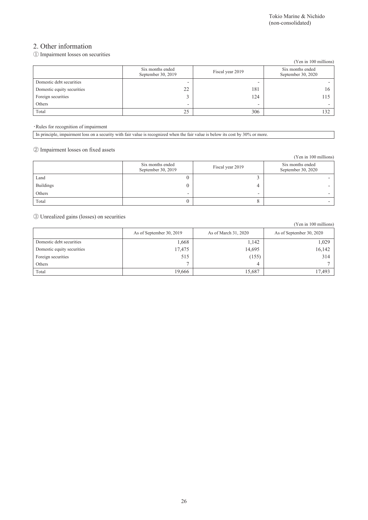### 2. Other information

### ① Impairment losses on securities

|                            |                                        |                  | (Yen in 100 millions)                  |
|----------------------------|----------------------------------------|------------------|----------------------------------------|
|                            | Six months ended<br>September 30, 2019 | Fiscal year 2019 | Six months ended<br>September 30, 2020 |
| Domestic debt securities   | -                                      |                  |                                        |
| Domestic equity securities | 22                                     | 181              | 16                                     |
| Foreign securities         |                                        | 124              | 115                                    |
| Others                     | -                                      | -                |                                        |
| Total                      | 25                                     | 306              | 132                                    |

#### ・Rules for recognition of impairment

|  |  |  | In principle, impairment loss on a security with fair value is recognized when the fair value is below its cost by 30% or more. |
|--|--|--|---------------------------------------------------------------------------------------------------------------------------------|
|  |  |  |                                                                                                                                 |

### ② Impairment losses on fixed assets

|                  |                                        |                  | (Yen in 100 millions)                  |
|------------------|----------------------------------------|------------------|----------------------------------------|
|                  | Six months ended<br>September 30, 2019 | Fiscal year 2019 | Six months ended<br>September 30, 2020 |
| Land             |                                        |                  |                                        |
| <b>Buildings</b> |                                        | 4                |                                        |
| Others           | -                                      | -                |                                        |
| Total            |                                        |                  |                                        |

③ Unrealized gains (losses) on securities

|                            |                          |                      | (Yen in 100 millions)    |
|----------------------------|--------------------------|----------------------|--------------------------|
|                            | As of September 30, 2019 | As of March 31, 2020 | As of September 30, 2020 |
| Domestic debt securities   | 1,668                    | 1,142                | 1,029                    |
| Domestic equity securities | 17,475                   | 14,695               | 16,142                   |
| Foreign securities         | 515                      | (155)                | 314                      |
| Others                     |                          | 4                    |                          |
| Total                      | 19,666                   | 15,687               | 17,493                   |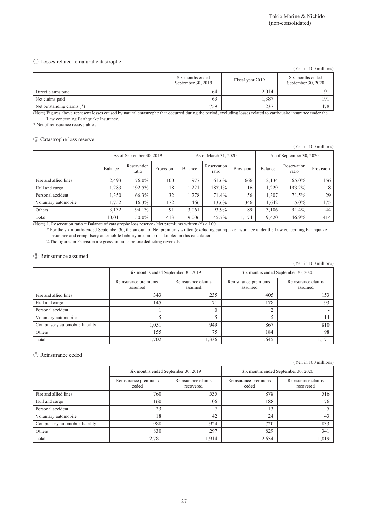#### ④ Losses related to natural catastrophe

|                            |                                        |                  | (Yen in 100 millions)                  |
|----------------------------|----------------------------------------|------------------|----------------------------------------|
|                            | Six months ended<br>September 30, 2019 | Fiscal year 2019 | Six months ended<br>September 30, 2020 |
| Direct claims paid         | 64                                     | 2.014            | 191                                    |
| Net claims paid            | 63                                     | 1.387            | 191                                    |
| Net outstanding claims (*) | 759                                    | 237              | 478                                    |

(Note) Figures above represent losses caused by natural catastrophe that occurred during the period, excluding losses related to earthquake insurance under the Law concerning Earthquake Insurance.

\* Net of reinsurance recoverable .

#### ⑤ Catastrophe loss reserve

(Yen in 100 millions)

|                       |                         | As of September 30, 2019 |                |         | As of March 31, 2020 |           |         | As of September 30, 2020 |           |
|-----------------------|-------------------------|--------------------------|----------------|---------|----------------------|-----------|---------|--------------------------|-----------|
|                       | Balance                 | Reservation<br>ratio     | Provision      | Balance | Reservation<br>ratio | Provision | Balance | Reservation<br>ratio     | Provision |
| Fire and allied lines | 2.493                   | 76.0%                    | 100            | 1.977   | 61.6%                | 666       | 2.134   | 65.0%                    | 156       |
| Hull and cargo        | .283                    | 192.5%                   | 18             | .221    | 187.1%               | 16        | 1.229   | 193.2%                   |           |
| Personal accident     | 1.350                   | 66.3%                    | 32             | 1.278   | 71.4%                | 56        | 1.307   | 71.5%                    | 29        |
| Voluntary automobile  | 1.752                   | 16.3%                    | 172            | l.466   | 13.6%                | 346       | 1.642   | 15.0%                    | 175       |
| Others                | 3,132                   | 94.1%                    | 91             | 3.061   | 93.9%                | 89        | 3,106   | 91.4%                    | 44        |
| Total<br>.<br>- -     | 10,011<br>$\sim$ $\sim$ | 50.0%                    | 413<br>$1 - 1$ | 9.006   | 45.7%<br>$\sim$ 0.00 | 1.174     | 9,420   | 46.9%                    | 414       |

(Note) 1. Reservation ratio = Balance of catastrophe loss reserve / Net premiums written (\*)  $\times$  100 \* For the six months ended September 30, the amount of Net premiums written (excluding earthquake insurance under the Law concerning Earthquake

Insurance and compulsory automobile liability insurance) is doubled in this calculation.

2.The figures in Provision are gross amounts before deducting reversals.

#### ⑥ Reinsurance assumed

(Yen in 100 millions)

|                                 | Six months ended September 30, 2019 |                               | Six months ended September 30, 2020 |                               |  |
|---------------------------------|-------------------------------------|-------------------------------|-------------------------------------|-------------------------------|--|
|                                 | Reinsurance premiums<br>assumed     | Reinsurance claims<br>assumed | Reinsurance premiums<br>assumed     | Reinsurance claims<br>assumed |  |
| Fire and allied lines           | 343                                 | 235                           | 405                                 | 153                           |  |
| Hull and cargo                  | 145                                 | 71                            | 178                                 | 93                            |  |
| Personal accident               |                                     |                               |                                     |                               |  |
| Voluntary automobile            |                                     |                               |                                     | 14                            |  |
| Compulsory automobile liability | 1,051                               | 949                           | 867                                 | 810                           |  |
| Others                          | 155                                 | 75                            | 184                                 | 98                            |  |
| Total                           | 1,702                               | 1,336                         | 1,645                               | 1,171                         |  |

#### ⑦ Reinsurance ceded

(Yen in 100 millions)

|                                 | Six months ended September 30, 2019 |                                                                  | Six months ended September 30, 2020 |                                 |  |  |
|---------------------------------|-------------------------------------|------------------------------------------------------------------|-------------------------------------|---------------------------------|--|--|
|                                 | Reinsurance premiums<br>ceded       | Reinsurance claims<br>Reinsurance premiums<br>ceded<br>recovered |                                     | Reinsurance claims<br>recovered |  |  |
| Fire and allied lines           | 760                                 | 535                                                              | 878                                 | 516                             |  |  |
| Hull and cargo                  | 160                                 | 106                                                              | 188                                 | 76                              |  |  |
| Personal accident               | 23                                  |                                                                  | 13                                  |                                 |  |  |
| Voluntary automobile            | 18                                  | 42                                                               | 24                                  | 43                              |  |  |
| Compulsory automobile liability | 988                                 | 924                                                              | 720                                 | 833                             |  |  |
| Others                          | 830                                 | 297                                                              | 829                                 | 341                             |  |  |
| Total                           | 2,781                               | 1,914                                                            | 2,654                               | 1,819                           |  |  |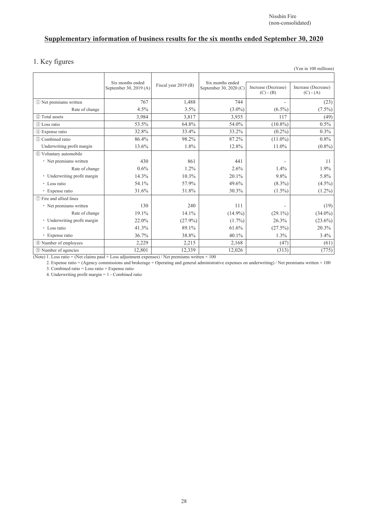# **Supplementary information of business results for the six months ended September 30, 2020**

# 1. Key figures

|                              |                                            |                      |                                            |                                    | (Yen in 100 millions)              |
|------------------------------|--------------------------------------------|----------------------|--------------------------------------------|------------------------------------|------------------------------------|
|                              | Six months ended<br>September 30, 2019 (A) | Fiscal year 2019 (B) | Six months ended<br>September 30, 2020 (C) | Increase (Decrease)<br>$(C) - (B)$ | Increase (Decrease)<br>$(C) - (A)$ |
| 1) Net premiums written      | 767                                        | 1,488                | 744                                        |                                    | (23)                               |
| Rate of change               | 4.5%                                       | 3.5%                 | $(3.0\%)$                                  | $(6.5\%)$                          | $(7.5\%)$                          |
| 2 Total assets               | 3,984                                      | 3,817                | 3,935                                      | 117                                | (49)                               |
| 3 Loss ratio                 | 53.5%                                      | 64.8%                | 54.0%                                      | $(10.8\%)$                         | 0.5%                               |
| 4 Expense ratio              | 32.8%                                      | 33.4%                | 33.2%                                      | $(0.2\%)$                          | 0.3%                               |
| (5) Combined ratio           | 86.4%                                      | 98.2%                | 87.2%                                      | $(11.0\%)$                         | 0.8%                               |
| Underwriting profit margin   | 13.6%                                      | 1.8%                 | 12.8%                                      | 11.0%                              | $(0.8\%)$                          |
| 6 Voluntary automobile       |                                            |                      |                                            |                                    |                                    |
| • Net premiums written       | 430                                        | 861                  | 441                                        | ۰                                  | 11                                 |
| Rate of change               | $0.6\%$                                    | $1.2\%$              | 2.6%                                       | 1.4%                               | 1.9%                               |
| • Underwriting profit margin | 14.3%                                      | 10.3%                | 20.1%                                      | 9.8%                               | 5.8%                               |
| • Loss ratio                 | 54.1%                                      | 57.9%                | 49.6%                                      | $(8.3\%)$                          | $(4.5\%)$                          |
| • Expense ratio              | 31.6%                                      | 31.8%                | 30.3%                                      | $(1.5\%)$                          | $(1.2\%)$                          |
| (7) Fire and allied lines    |                                            |                      |                                            |                                    |                                    |
| • Net premiums written       | 130                                        | 240                  | 111                                        |                                    | (19)                               |
| Rate of change               | 19.1%                                      | 14.1%                | $(14.9\%)$                                 | $(29.1\%)$                         | $(34.0\%)$                         |
| • Underwriting profit margin | 22.0%                                      | $(27.9\%)$           | $(1.7\%)$                                  | 26.3%                              | $(23.6\%)$                         |
| • Loss ratio                 | 41.3%                                      | 89.1%                | 61.6%                                      | $(27.5\%)$                         | 20.3%                              |
| • Expense ratio              | 36.7%                                      | 38.8%                | 40.1%                                      | 1.3%                               | 3.4%                               |
| 8 Number of employees        | 2,229                                      | 2,215                | 2,168                                      | (47)                               | (61)                               |
| <b>9 Number of agencies</b>  | 12,801                                     | 12,339               | 12.026                                     | (313)                              | (775)                              |

(Note) 1. Loss ratio = (Net claims paid + Loss adjustment expenses) / Net premiums written  $\times$  100

2. Expense ratio = (Agency commissions and brokerage + Operating and general administrative expenses on underwriting) / Net premiums written  $\times$  100

3. Combined ratio = Loss ratio + Expense ratio

4. Underwriting profit margin = 1 - Combined ratio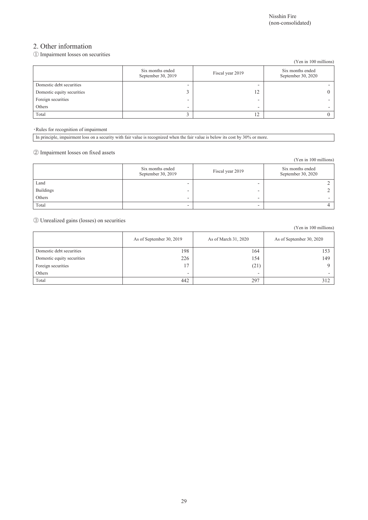(Yen in 100 millions)

### 2. Other information

① Impairment losses on securities

|                            |                                        |                  | (Yen in 100 millions)                  |
|----------------------------|----------------------------------------|------------------|----------------------------------------|
|                            | Six months ended<br>September 30, 2019 | Fiscal year 2019 | Six months ended<br>September 30, 2020 |
| Domestic debt securities   | -                                      | -                |                                        |
| Domestic equity securities |                                        | 12               |                                        |
| Foreign securities         | -                                      | -                |                                        |
| Others                     | -                                      | -                |                                        |
| Total                      |                                        | 12               |                                        |

・Rules for recognition of impairment

In principle, impairment loss on a security with fair value is recognized when the fair value is below its cost by 30% or more.

② Impairment losses on fixed assets

|                  |                                        |                  | (Yen in 100 millions)                  |
|------------------|----------------------------------------|------------------|----------------------------------------|
|                  | Six months ended<br>September 30, 2019 | Fiscal year 2019 | Six months ended<br>September 30, 2020 |
| Land             | -                                      | -                |                                        |
| <b>Buildings</b> | -                                      | -                |                                        |
| Others           | -                                      | -                |                                        |
| Total            | -                                      | -                |                                        |

③ Unrealized gains (losses) on securities

|                            | As of September 30, 2019 | As of March 31, 2020 | As of September 30, 2020 |
|----------------------------|--------------------------|----------------------|--------------------------|
| Domestic debt securities   | 198                      | 164                  | 15 <sup>2</sup>          |
| Domestic equity securities | 226                      | 154                  | 149                      |
| Foreign securities         | 17                       | (21)                 |                          |
| Others                     | ۰                        | -                    | -                        |
| Total                      | 442                      | 297                  | 312                      |